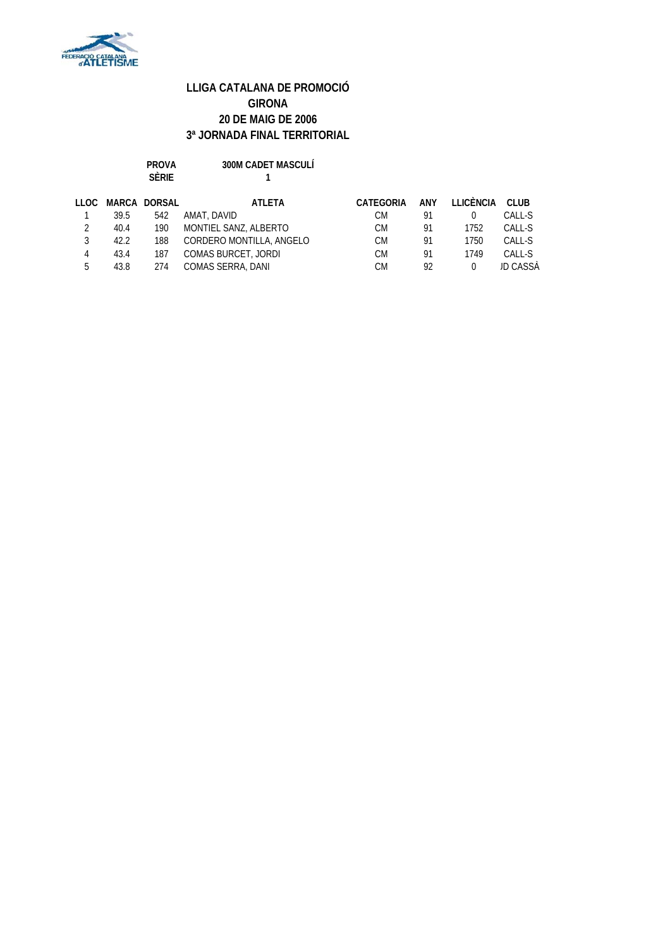

| PROVA        | <b>300M CADET MASCULÍ</b> |
|--------------|---------------------------|
| <b>SÈRIE</b> |                           |

| LLOC |      | MARCA DORSAL | ATLETA                     | CATEGORIA | <b>ANY</b> | LLICÈNCIA CLUB |          |
|------|------|--------------|----------------------------|-----------|------------|----------------|----------|
|      | 39.5 | 542          | AMAT. DAVID                | СM        | 91         |                | CALL-S   |
| 2    | 40.4 | 190          | MONTIEL SANZ, ALBERTO      | CМ        | Q1         | 1752           | CALL-S   |
|      | 42.2 | 188          | CORDERO MONTILLA, ANGELO   | CМ        | 91         | 1750           | CALL-S   |
| 4    | 43.4 | 187          | <b>COMAS BURCET, JORDI</b> | CМ        | <b>Q1</b>  | 1749           | CALL-S   |
| 5    | 43.8 | 274          | COMAS SERRA, DANI          | CМ        | 92         | 0              | JD CASSÀ |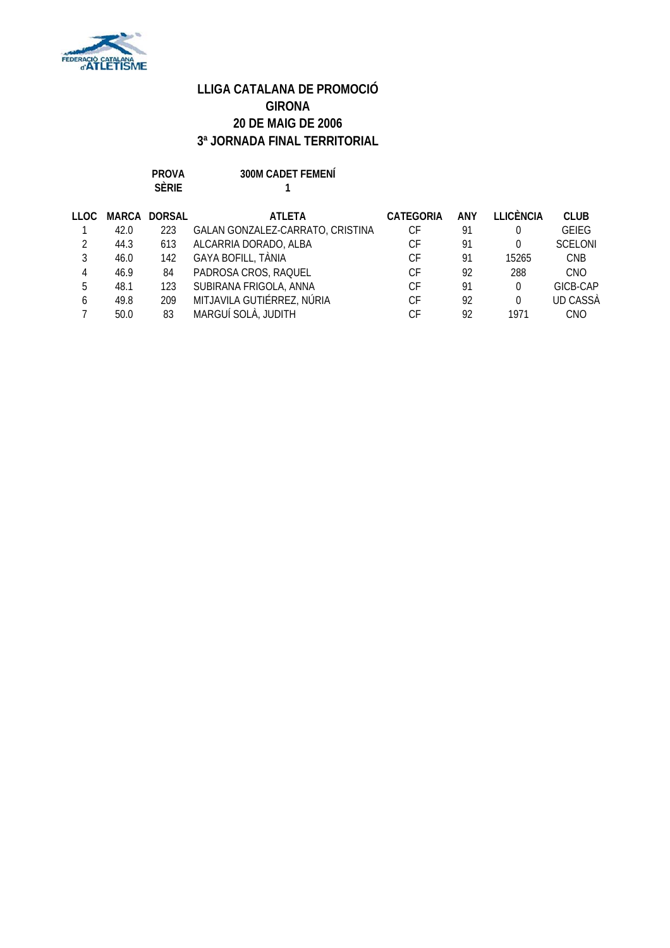

**PROVA 300M CADET FEMENÍ**

**SÈRIE 1**

| LLOC.        |      | MARCA DORSAL | <b>ATLETA</b>                    | CATEGORIA | ANY | <b>LLICÈNCIA</b> | <b>CLUB</b>     |
|--------------|------|--------------|----------------------------------|-----------|-----|------------------|-----------------|
|              | 42.0 | 223          | GALAN GONZALEZ-CARRATO, CRISTINA | СF        | 91  | 0                | <b>GEIEG</b>    |
|              | 44.3 | 613          | ALCARRIA DORADO, ALBA            | СF        | 91  | 0                | <b>SCELONI</b>  |
|              | 46.0 | 142          | GAYA BOFILL, TÀNIA               | СF        | 91  | 15265            | <b>CNB</b>      |
| 4            | 46.9 | 84           | PADROSA CROS, RAQUEL             | СF        | 92  | 288              | <b>CNO</b>      |
| 5            | 48.1 | 123          | SUBIRANA FRIGOLA, ANNA           | СF        | 91  | 0                | GICB-CAP        |
| <sub>6</sub> | 49.8 | 209          | MITJAVILA GUTIÉRREZ, NÚRIA       | СF        | 92  | 0                | <b>UD CASSA</b> |
|              | 50.0 | 83           | MARGUÍ SOLÀ, JUDITH              | СF        | 92  | 1971             | <b>CNO</b>      |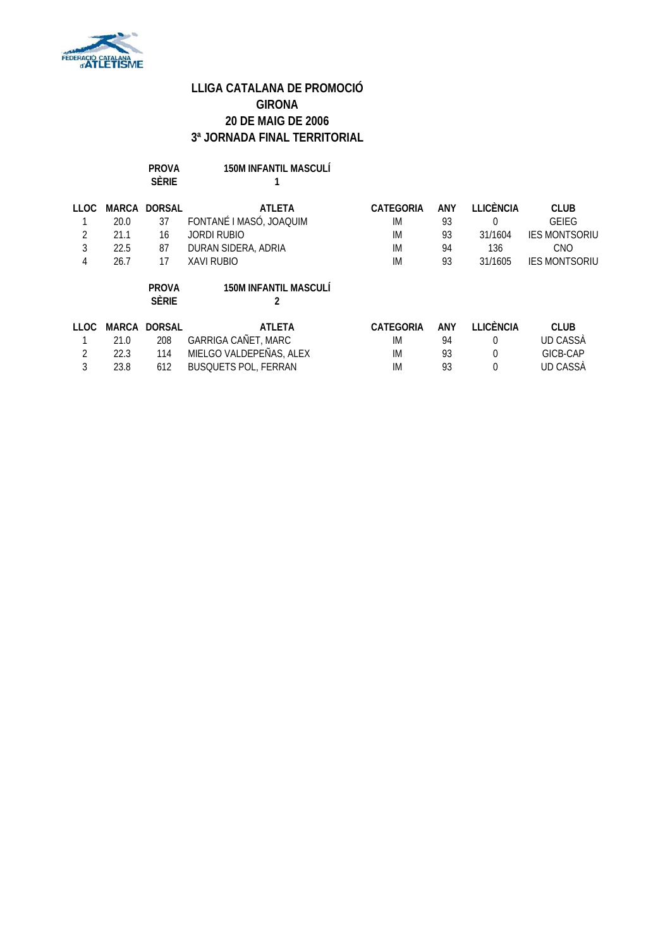

| PROVA        | <b>150M INFANTIL MASCULÍ</b> |
|--------------|------------------------------|
| <b>SÈRIE</b> |                              |

| <b>LLOC</b> | MARCA | <b>DORSAL</b>                | <b>ATLETA</b>                | CATEGORIA | ANY | LLICÈNCIA        | <b>CLUB</b>          |
|-------------|-------|------------------------------|------------------------------|-----------|-----|------------------|----------------------|
|             | 20.0  | 37                           | FONTANÉ I MASÓ, JOAQUIM      | IM        | 93  | 0                | <b>GEIEG</b>         |
|             | 21.1  | 16                           | JORDI RUBIO                  | IM        | 93  | 31/1604          | <b>IES MONTSORIU</b> |
| 3           | 22.5  | 87                           | DURAN SIDERA, ADRIA          | IM        | 94  | 136              | CNO                  |
| 4           | 26.7  | 17                           | XAVI RUBIO                   | IM        | 93  | 31/1605          | <b>IES MONTSORIU</b> |
|             |       | <b>PROVA</b><br><b>SÈRIE</b> | <b>150M INFANTIL MASCULÍ</b> |           |     |                  |                      |
| <b>LLOC</b> | MARCA | <b>DORSAL</b>                | <b>ATLETA</b>                | CATEGORIA | ANY | <b>LLICÈNCIA</b> | <b>CLUB</b>          |
|             | 21.0  | 208                          | GARRIGA CAÑET, MARC          | IM        | 94  | $\Omega$         | UD CASSA             |
|             | 22.3  | 114                          | MIELGO VALDEPEÑAS, ALEX      | IM        | 93  | $\Omega$         | GICB-CAP             |
| 3           | 23.8  | 612                          | <b>BUSQUETS POL, FERRAN</b>  | IM        | 93  | 0                | UD CASSÀ             |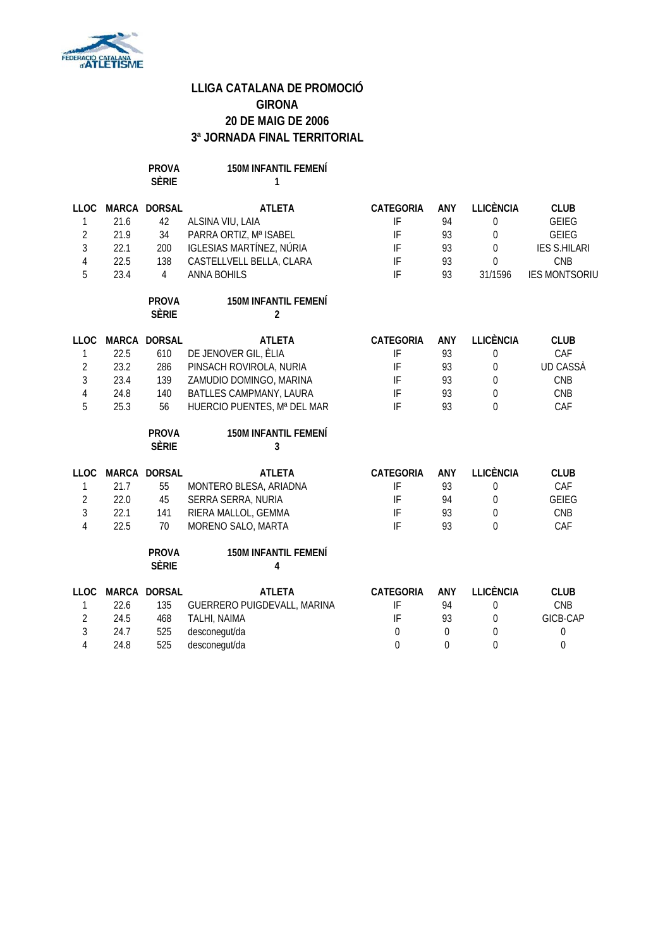

**PROVA 150M INFANTIL FEMENÍ SÈRIE 1**

| <b>LLOC</b><br>1<br>$\overline{2}$<br>$\mathfrak{Z}$<br>$\overline{4}$<br>5 | 21.6<br>21.9<br>22.1<br>22.5<br>23.4 | MARCA DORSAL<br>42<br>34<br>200<br>138<br>$\overline{4}$ | <b>ATLETA</b><br>ALSINA VIU, LAIA<br>PARRA ORTIZ, Mª ISABEL<br><b>IGLESIAS MARTÍNEZ, NÚRIA</b><br>CASTELLVELL BELLA, CLARA<br><b>ANNA BOHILS</b> | <b>CATEGORIA</b><br>IF<br>IF<br>IF<br>IF<br>IF | ANY<br>94<br>93<br>93<br>93<br>93 | <b>LLICÈNCIA</b><br>0<br>$\mathbf 0$<br>$\Omega$<br>$\Omega$<br>31/1596 | <b>CLUB</b><br><b>GEIEG</b><br><b>GEIEG</b><br><b>IES S.HILARI</b><br>CNB<br><b>IES MONTSORIU</b> |
|-----------------------------------------------------------------------------|--------------------------------------|----------------------------------------------------------|--------------------------------------------------------------------------------------------------------------------------------------------------|------------------------------------------------|-----------------------------------|-------------------------------------------------------------------------|---------------------------------------------------------------------------------------------------|
|                                                                             |                                      | <b>PROVA</b><br><b>SÈRIE</b>                             | <b>150M INFANTIL FEMENÍ</b><br>$\overline{2}$                                                                                                    |                                                |                                   |                                                                         |                                                                                                   |
| <b>LLOC</b>                                                                 |                                      | MARCA DORSAL                                             | <b>ATLETA</b>                                                                                                                                    | <b>CATEGORIA</b>                               | ANY                               | <b>LLICÈNCIA</b>                                                        | <b>CLUB</b>                                                                                       |
| 1                                                                           | 22.5                                 | 610                                                      | DE JENOVER GIL, ÈLIA                                                                                                                             | IF                                             | 93                                | $\boldsymbol{0}$                                                        | CAF                                                                                               |
| $\overline{2}$                                                              | 23.2                                 | 286                                                      | PINSACH ROVIROLA, NURIA                                                                                                                          | IF                                             | 93                                | 0                                                                       | <b>UD CASSÀ</b>                                                                                   |
| $\mathfrak{Z}$                                                              | 23.4                                 | 139                                                      | ZAMUDIO DOMINGO, MARINA                                                                                                                          | IF                                             | 93                                | 0                                                                       | CNB                                                                                               |
| $\sqrt{4}$                                                                  | 24.8                                 | 140                                                      | BATLLES CAMPMANY, LAURA                                                                                                                          | IF                                             | 93                                | 0                                                                       | <b>CNB</b>                                                                                        |
| 5                                                                           | 25.3                                 | 56                                                       | HUERCIO PUENTES, Mª DEL MAR                                                                                                                      | IF                                             | 93                                | $\overline{0}$                                                          | CAF                                                                                               |
|                                                                             |                                      | <b>PROVA</b><br><b>SÈRIE</b>                             | <b>150M INFANTIL FEMENÍ</b><br>3                                                                                                                 |                                                |                                   |                                                                         |                                                                                                   |
| <b>LLOC</b>                                                                 |                                      | MARCA DORSAL                                             | <b>ATLETA</b>                                                                                                                                    | <b>CATEGORIA</b>                               | <b>ANY</b>                        | <b>LLICÈNCIA</b>                                                        | <b>CLUB</b>                                                                                       |
| 1                                                                           | 21.7                                 | 55                                                       | MONTERO BLESA, ARIADNA                                                                                                                           | IF                                             | 93                                | $\boldsymbol{0}$                                                        | CAF                                                                                               |
| $\overline{2}$                                                              | 22.0                                 | 45                                                       | SERRA SERRA, NURIA                                                                                                                               | IF                                             | 94                                | $\overline{0}$                                                          | <b>GEIEG</b>                                                                                      |
| $\mathfrak{Z}$                                                              | 22.1                                 | 141                                                      | RIERA MALLOL, GEMMA                                                                                                                              | IF                                             | 93                                | 0                                                                       | <b>CNB</b>                                                                                        |
| 4                                                                           | 22.5                                 | 70                                                       | MORENO SALO, MARTA                                                                                                                               | IF                                             | 93                                | 0                                                                       | CAF                                                                                               |
|                                                                             |                                      | <b>PROVA</b><br><b>SÈRIE</b>                             | <b>150M INFANTIL FEMENÍ</b><br>4                                                                                                                 |                                                |                                   |                                                                         |                                                                                                   |
| <b>LLOC</b>                                                                 |                                      | MARCA DORSAL                                             | <b>ATLETA</b>                                                                                                                                    | <b>CATEGORIA</b>                               | <b>ANY</b>                        | <b>LLICÈNCIA</b>                                                        | <b>CLUB</b>                                                                                       |
| 1                                                                           | 22.6                                 | 135                                                      | GUERRERO PUIGDEVALL, MARINA                                                                                                                      | IF                                             | 94                                | 0                                                                       | CNB                                                                                               |
| $\overline{2}$                                                              | 24.5                                 | 468                                                      | TALHI, NAIMA                                                                                                                                     | IF                                             | 93                                | 0                                                                       | GICB-CAP                                                                                          |
| $\mathfrak{Z}$                                                              | 24.7                                 | 525                                                      | desconegut/da                                                                                                                                    | $\mathbf 0$                                    | $\mathbf 0$                       | 0                                                                       | $\boldsymbol{0}$                                                                                  |
| $\overline{4}$                                                              | 24.8                                 | 525                                                      | desconegut/da                                                                                                                                    | $\boldsymbol{0}$                               | $\theta$                          | $\mathbf 0$                                                             | $\overline{0}$                                                                                    |
|                                                                             |                                      |                                                          |                                                                                                                                                  |                                                |                                   |                                                                         |                                                                                                   |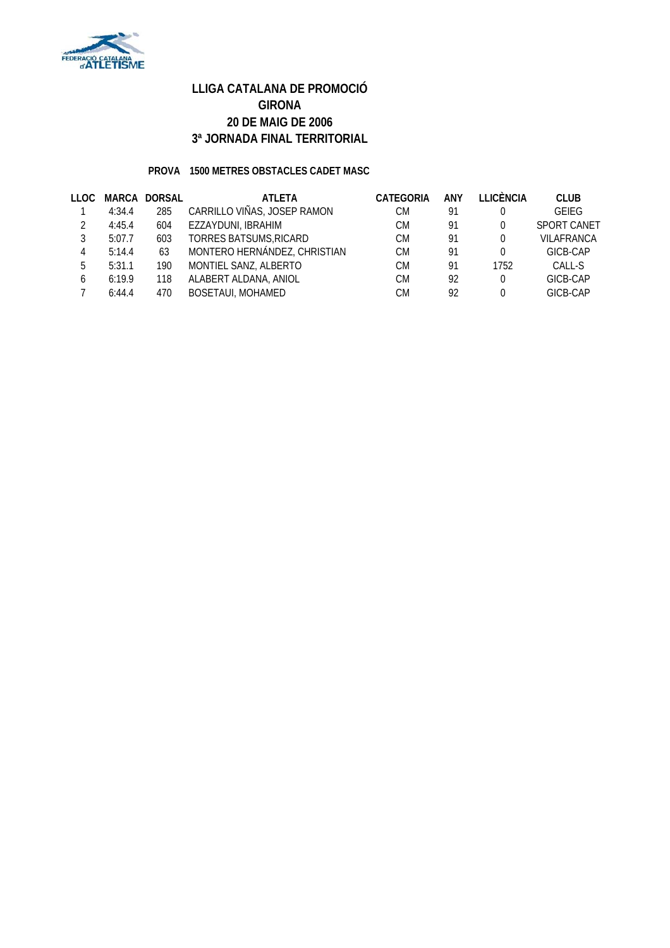

#### **PROVA 1500 METRES OBSTACLES CADET MASC**

| LLOC |        | MARCA DORSAL | <b>ATLETA</b>                | <b>CATEGORIA</b> | ANY | <b>LLICÈNCIA</b> | <b>CLUB</b>        |
|------|--------|--------------|------------------------------|------------------|-----|------------------|--------------------|
|      | 4:34.4 | 285          | CARRILLO VIÑAS, JOSEP RAMON  | СM               | 91  | 0                | <b>GEIEG</b>       |
|      | 4:45.4 | 604          | EZZAYDUNI, IBRAHIM           | СM               | 91  | 0                | <b>SPORT CANET</b> |
|      | 5:07.7 | 603          | TORRES BATSUMS, RICARD       | СM               | 91  | 0                | VILAFRANCA         |
| 4    | 5:14.4 | 63           | MONTERO HERNÁNDEZ, CHRISTIAN | СM               | 91  | 0                | GICB-CAP           |
| 5    | 5:31.1 | 190          | MONTIEL SANZ, ALBERTO        | СM               | 91  | 1752             | CALL-S             |
| 6    | 6:19.9 | 118          | ALABERT ALDANA, ANIOL        | СM               | 92  | 0                | GICB-CAP           |
|      | 6:44.4 | 470          | <b>BOSETAUI, MOHAMED</b>     | СM               | 92  | 0                | GICB-CAP           |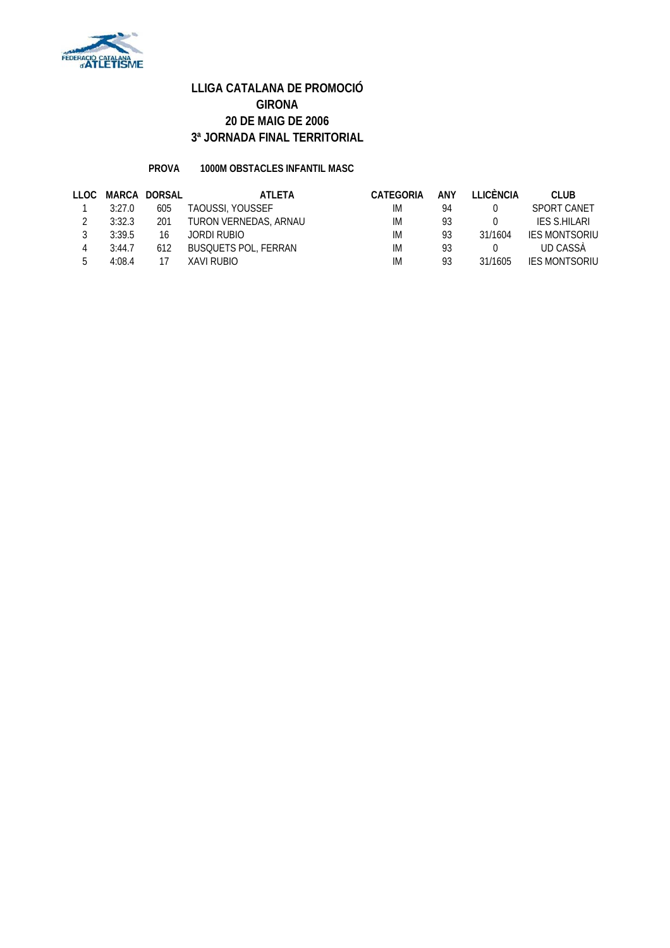

#### **PROVA 1000M OBSTACLES INFANTIL MASC**

| LLOC. |        | MARCA DORSAL | ATI FTA                     | CATEGORIA | ANY | <b>TEICÈNCIA</b> | CLUB.                |
|-------|--------|--------------|-----------------------------|-----------|-----|------------------|----------------------|
|       | 3:27.0 | 605          | <b>TAOUSSI, YOUSSEF</b>     | IМ        | 94  |                  | SPORT CANET          |
|       | 3:32.3 | 201          | TURON VERNEDAS, ARNAU       | IM        | 93  |                  | IFS S.HII ARI        |
|       | 3:39.5 | 16           | JORDI RUBIO                 | IM        | 93  | 31/1604          | <b>IES MONTSORIU</b> |
|       | 3:44.7 | 612          | <b>BUSQUETS POL, FERRAN</b> | IM        | 93  |                  | UD CASSÀ             |
|       | 4.084  | 17           | XAVI RUBIO                  | IM        | 93  | 31/1605          | <b>IFS MONTSORIU</b> |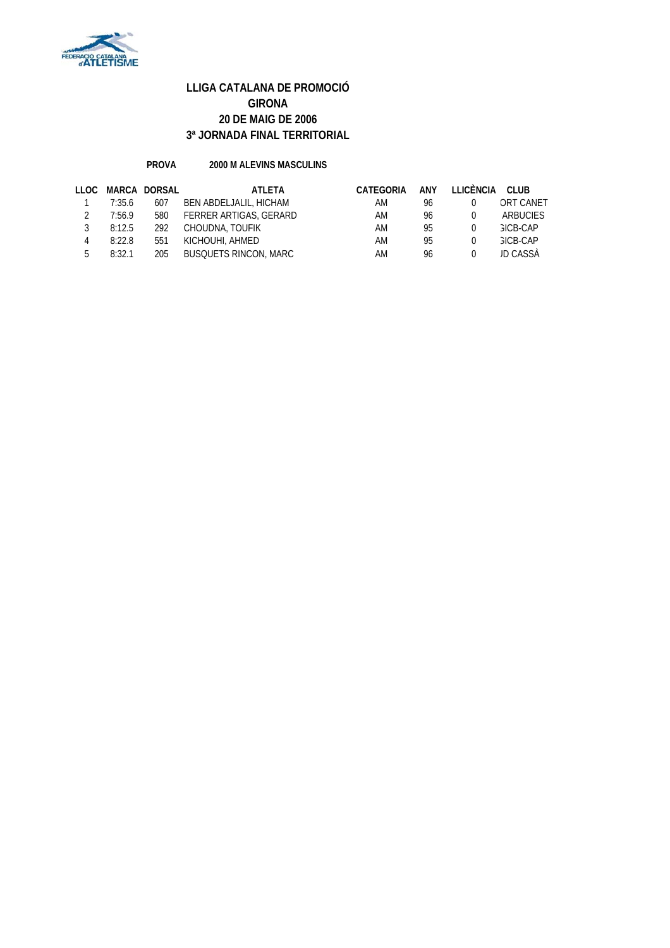

#### **PROVA 2000 M ALEVINS MASCULINS**

| LLOC |        | MARCA DORSAL | ATLETA                       | CATEGORIA | <b>ANY</b> | LLICÈNCIA | CLUB             |
|------|--------|--------------|------------------------------|-----------|------------|-----------|------------------|
|      | 7:35.6 | 607          | BEN ABDELJALIL, HICHAM       | AM        | 96         |           | <b>ORT CANET</b> |
|      | 7:56.9 | 580          | FERRER ARTIGAS, GERARD       | AM        | 96         |           | ARBUCIES         |
|      | 8:12.5 | 292          | CHOUDNA, TOUFIK              | AM        | 95         |           | <b>GICB-CAP</b>  |
|      | 8:22.8 | 551          | KICHOUHI, AHMED              | AM        | 95         |           | GICB-CAP         |
| ь.   | 8:32.1 | 205          | <b>BUSQUETS RINCON, MARC</b> | AM        | 96         |           | <b>JD CASSA</b>  |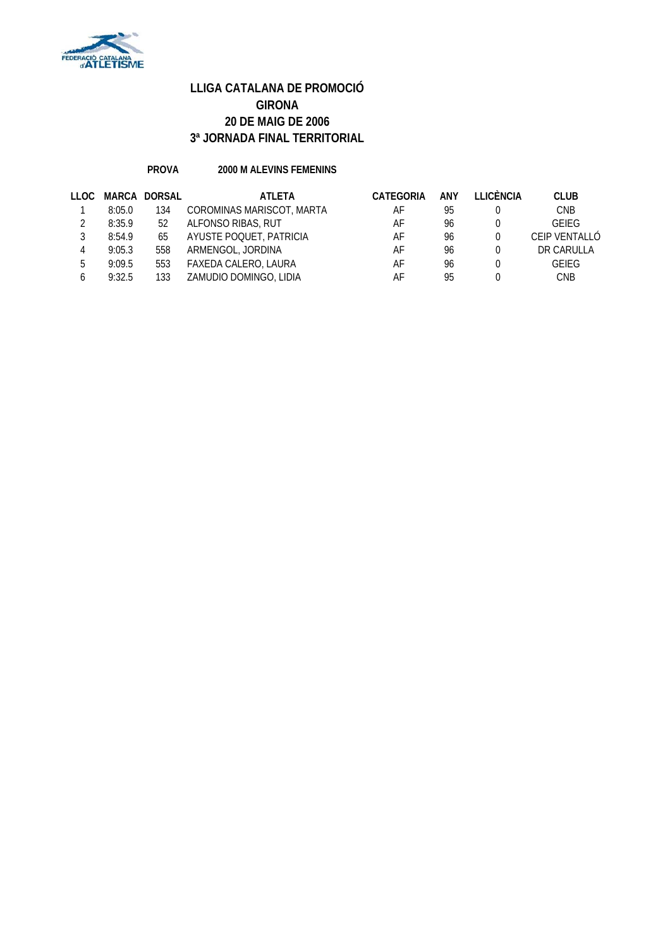

#### **PROVA 2000 M ALEVINS FEMENINS**

| <b>CLUB</b>   |
|---------------|
| <b>CNB</b>    |
| <b>GFIFG</b>  |
| CEIP VENTALLÓ |
| DR CARULLA    |
| GEIEG         |
| <b>CNB</b>    |
|               |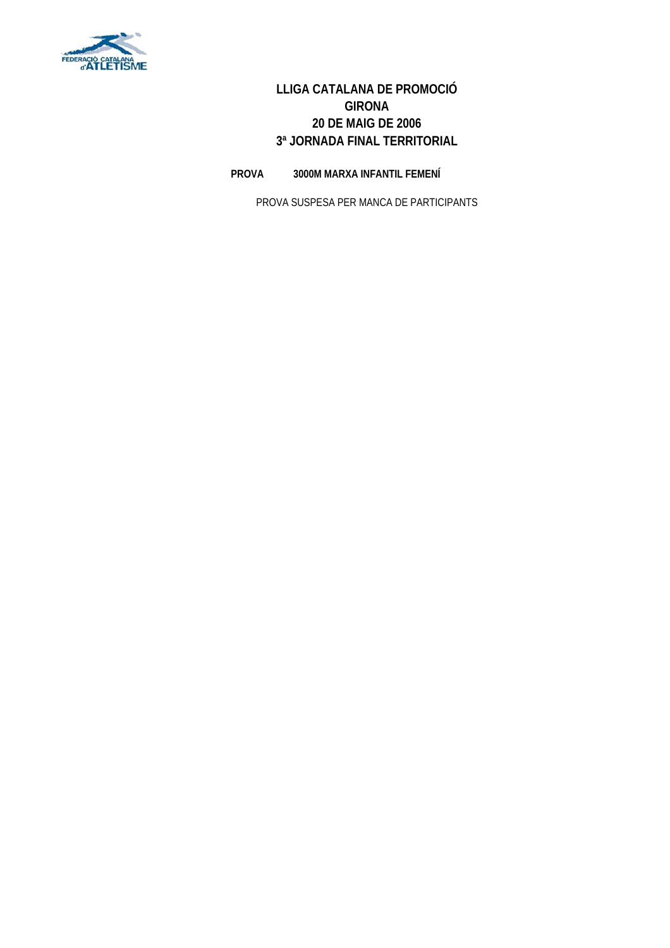

**PROVA 3000M MARXA INFANTIL FEMENÍ**

PROVA SUSPESA PER MANCA DE PARTICIPANTS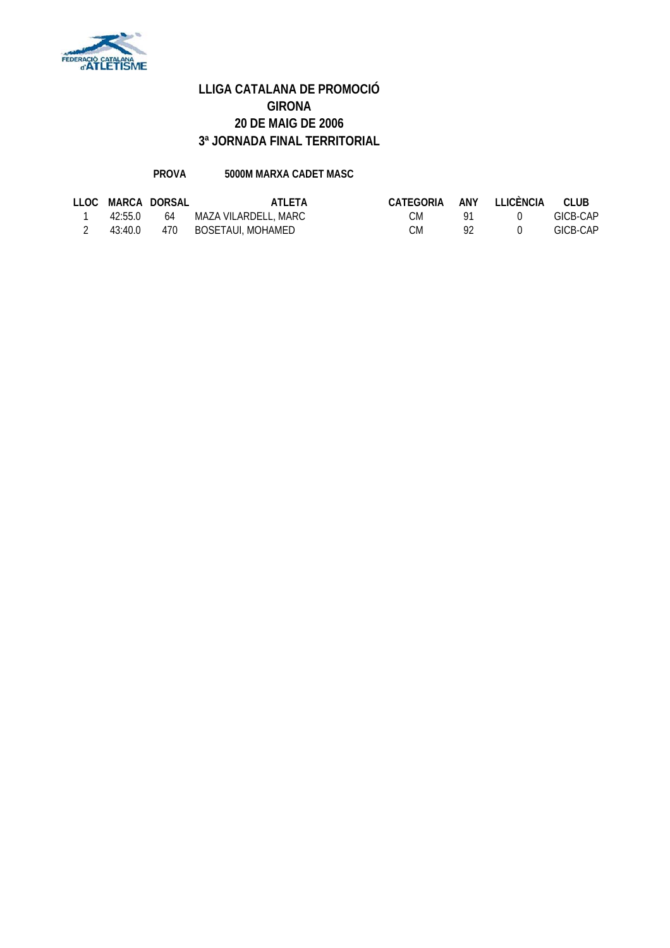

#### **PROVA 5000M MARXA CADET MASC**

|         | LLOC MARCA DORSAL | ATI FTA              | CATEGORIA |                | ANY LLICÈNCIA | CLUB     |
|---------|-------------------|----------------------|-----------|----------------|---------------|----------|
| 42.550  | 64                | MAZA VILARDELL, MARC | СM        |                |               | GICB-CAP |
| 43:40.0 | 470               | BOSETAUI, MOHAMED    | CM        | Q <sub>2</sub> |               | GICB-CAP |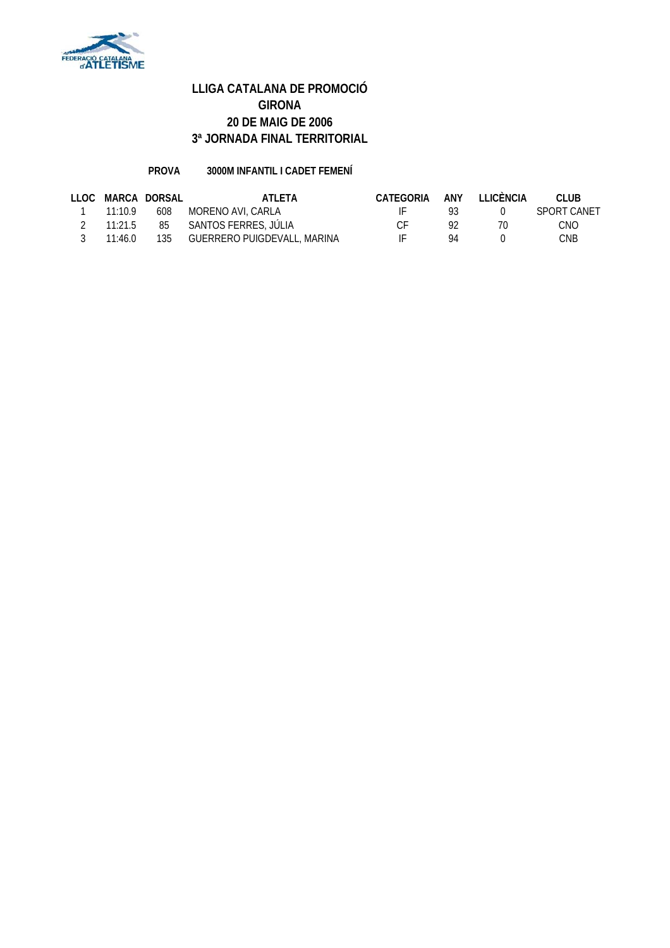

#### **PROVA 3000M INFANTIL I CADET FEMENÍ**

|                 | LLOC MARCA DORSAL | ATI FTA                     | CATEGORIA | ANY | TI ICÈNCIA | CLUB.       |
|-----------------|-------------------|-----------------------------|-----------|-----|------------|-------------|
| 11:10.9         | 608               | MORENO AVI. CARLA           |           | Q3. |            | SPORT CANET |
| $11 \cdot 21.5$ |                   | 85 SANTOS FERRES, JÚLIA     | ΓF        | Q2  | 70         | <b>CNO</b>  |
| 11:46.0         | 135               | GUERRERO PUIGDEVALL, MARINA |           | 94  |            | CNB         |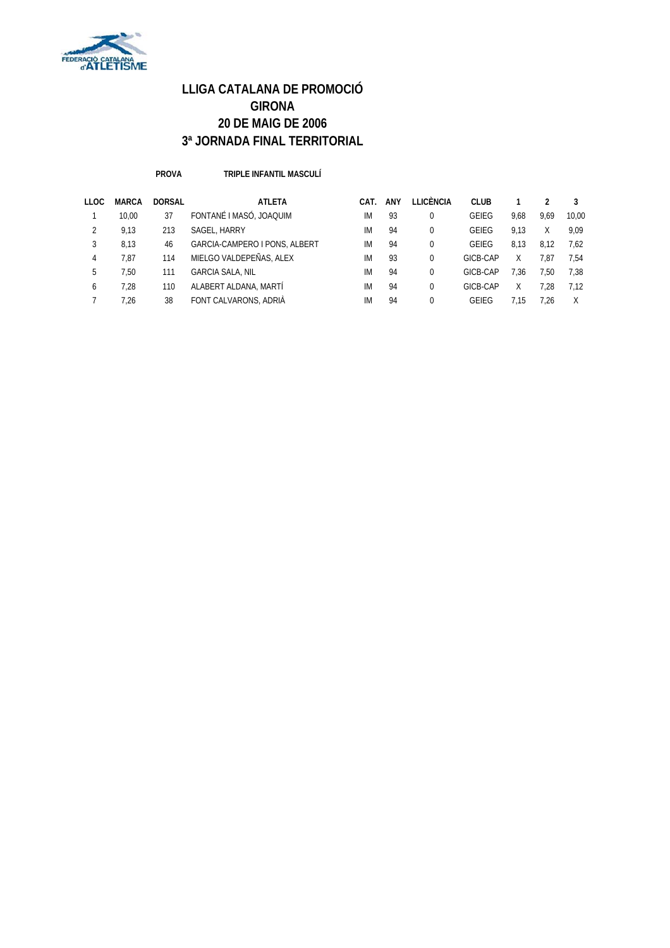

**PROVA TRIPLE INFANTIL MASCULÍ**

| <b>LLOC</b> | <b>MARCA</b> | <b>DORSAL</b> | <b>ATLETA</b>                 | CAT. | ANY | LLICÈNCIA | <b>CLUB</b> |      |      | 3     |
|-------------|--------------|---------------|-------------------------------|------|-----|-----------|-------------|------|------|-------|
|             | 10.00        | 37            | FONTANÉ I MASÓ. JOAQUIM       | IM   | 93  |           | GEIEG       | 9.68 | 9.69 | 10.00 |
|             | 9.13         | 213           | SAGEL, HARRY                  | IM   | 94  |           | GEIEG       | 9.13 |      | 9.09  |
|             | 8.13         | 46            | GARCIA-CAMPERO I PONS, ALBERT | IM   | 94  |           | GEIEG       | 8.13 | 8.12 | 7.62  |
| 4           | 7.87         | 114           | MIELGO VALDEPEÑAS, ALEX       | IM   | 93  |           | GICB-CAP    | Χ    | 7.87 | 7.54  |
| 5.          | 7.50         | 111           | <b>GARCIA SALA, NIL</b>       | IM   | 94  | 0         | GICB-CAP    | 7.36 | 7.50 | 7.38  |
| 6           | 7.28         | 110           | ALABERT ALDANA, MARTÍ         | IM   | 94  |           | GICB-CAP    | Χ    | 7.28 | 7.12  |
|             | 7.26         | 38            | FONT CALVARONS, ADRIÀ         | IM   | 94  |           | GEIFG       | 7.15 | 1.26 | Χ     |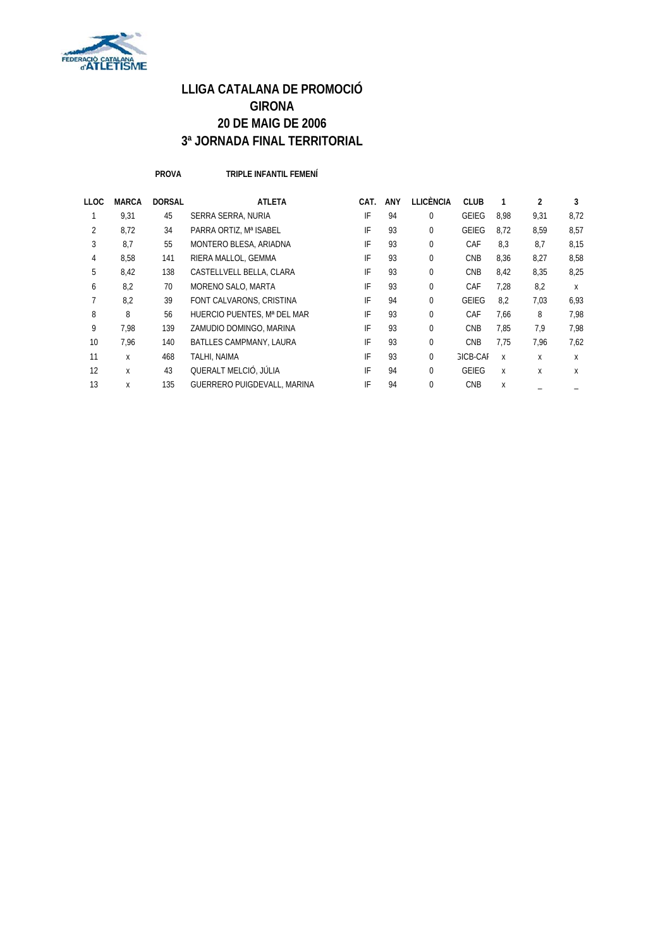

**PROVA TRIPLE INFANTIL FEMENÍ**

| <b>LLOC</b>    | <b>MARCA</b> | <b>DORSAL</b> | <b>ATLETA</b>                  | CAT. | ANY | LLICÈNCIA | <b>CLUB</b>     |      | 2    | 3    |
|----------------|--------------|---------------|--------------------------------|------|-----|-----------|-----------------|------|------|------|
|                | 9.31         | 45            | SERRA SERRA, NURIA             | IF   | 94  | $\Omega$  | GEIEG           | 8.98 | 9.31 | 8,72 |
| $\overline{2}$ | 8,72         | 34            | PARRA ORTIZ, Mª ISABEL         | IF   | 93  | 0         | GEIEG           | 8,72 | 8,59 | 8,57 |
| 3              | 8,7          | 55            | MONTERO BLESA, ARIADNA         | IF   | 93  | 0         | CAF             | 8,3  | 8,7  | 8,15 |
| $\overline{4}$ | 8,58         | 141           | RIERA MALLOL, GEMMA            | IF   | 93  | $\Omega$  | <b>CNB</b>      | 8,36 | 8,27 | 8,58 |
| 5              | 8,42         | 138           | CASTELLVELL BELLA, CLARA       | IF   | 93  | 0         | <b>CNB</b>      | 8,42 | 8,35 | 8.25 |
| 6              | 8,2          | 70            | MORENO SALO, MARTA             | IF   | 93  | 0         | CAF             | 7,28 | 8,2  | X    |
|                | 8,2          | 39            | FONT CALVARONS, CRISTINA       | IF   | 94  | $\Omega$  | <b>GEIEG</b>    | 8,2  | 7,03 | 6,93 |
| 8              | 8            | 56            | HUERCIO PUENTES, Mª DEL MAR    | IF   | 93  | $\Omega$  | CAF             | 7,66 | 8    | 7.98 |
| 9              | 7.98         | 139           | ZAMUDIO DOMINGO, MARINA        | IF   | 93  | 0         | <b>CNB</b>      | 7,85 | 7,9  | 7.98 |
| 10             | 7.96         | 140           | <b>BATLLES CAMPMANY, LAURA</b> | IF   | 93  | $\Omega$  | <b>CNB</b>      | 7.75 | 7.96 | 7.62 |
| 11             | X            | 468           | TALHI, NAIMA                   | IF   | 93  | 0         | <b>GICB-CAF</b> | X    | X    | X    |
| 12             | X            | 43            | QUERALT MELCIÓ, JÚLIA          | IF   | 94  | 0         | <b>GEIEG</b>    | X    | X    | X    |
| 13             | X            | 135           | GUERRERO PUIGDEVALL, MARINA    | IF   | 94  | $\Omega$  | <b>CNB</b>      | X    |      |      |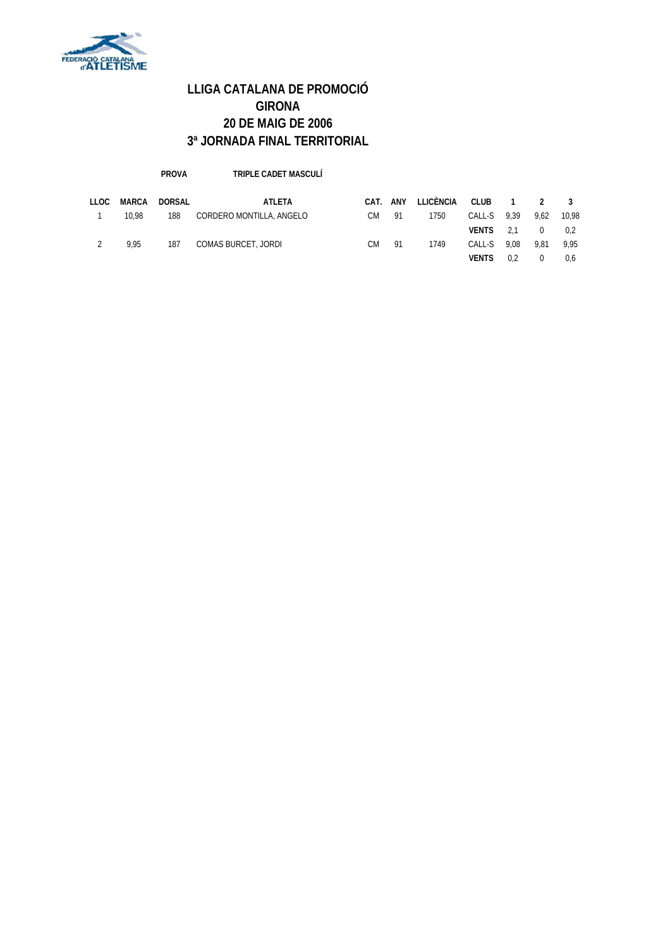

#### **PROVA TRIPLE CADET MASCULÍ**

| LLOC | MARCA | DORSAL | ATLETA                   | CAT. | ANY | LLICÈNCIA CLUB 1 |              |      |                | 2 3   |
|------|-------|--------|--------------------------|------|-----|------------------|--------------|------|----------------|-------|
|      | 10.98 | 188    | CORDERO MONTILLA, ANGELO | СM   | -91 | 1750             | CALL-S 9.39  |      | 9.62           | 10.98 |
|      |       |        |                          |      |     |                  | VENTS 2.1    |      | $\overline{0}$ | 0.2   |
|      | 9.95  | 187    | COMAS BURCET, JORDI      | CМ   | 91  | 1749             | CALL-S       | 9.08 | 9.81           | 9.95  |
|      |       |        |                          |      |     |                  | <b>VENTS</b> | 0.2  |                | 0.6   |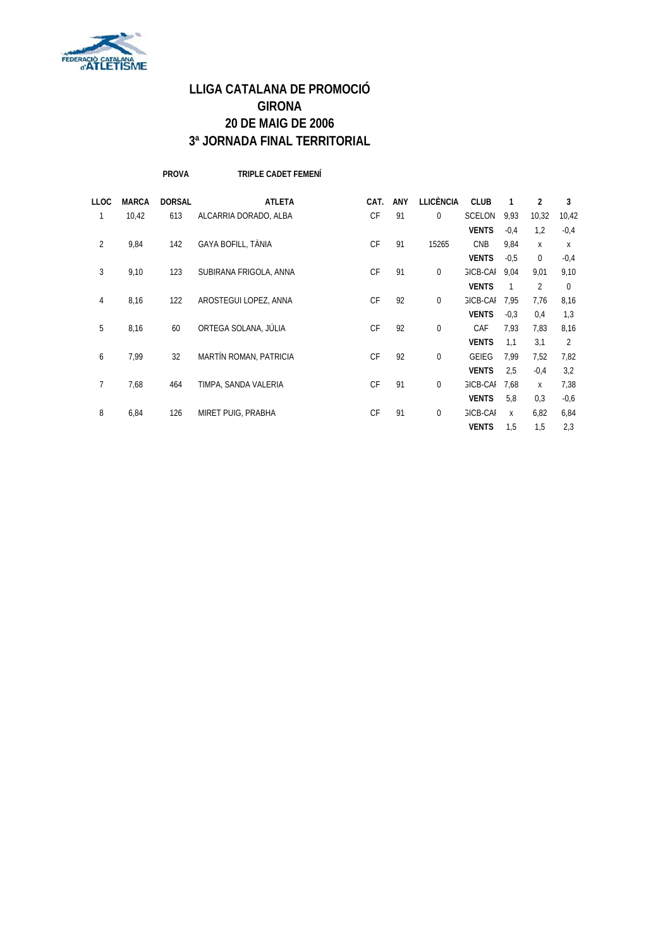

**PROVA TRIPLE CADET FEMENÍ**

| <b>LLOC</b> | <b>MARCA</b> | <b>DORSAL</b> | <b>ATLETA</b>          | CAT.      | <b>ANY</b> | <b>LLICÈNCIA</b> | <b>CLUB</b>     | 1              | 2              | 3      |
|-------------|--------------|---------------|------------------------|-----------|------------|------------------|-----------------|----------------|----------------|--------|
| 1           | 10,42        | 613           | ALCARRIA DORADO, ALBA  | <b>CF</b> | 91         | $\overline{0}$   | <b>SCELON</b>   | 9,93           | 10,32          | 10,42  |
|             |              |               |                        |           |            |                  | <b>VENTS</b>    | $-0.4$         | 1,2            | $-0,4$ |
| 2           | 9,84         | 142           | GAYA BOFILL, TÀNIA     | <b>CF</b> | 91         | 15265            | <b>CNB</b>      | 9,84           | X              | X      |
|             |              |               |                        |           |            |                  | <b>VENTS</b>    | $-0,5$         | $\mathbf 0$    | $-0,4$ |
| 3           | 9,10         | 123           | SUBIRANA FRIGOLA, ANNA | CF        | 91         | $\overline{0}$   | <b>GICB-CAL</b> | 9.04           | 9,01           | 9,10   |
|             |              |               |                        |           |            |                  | <b>VENTS</b>    | $\overline{1}$ | $\overline{2}$ | 0      |
| 4           | 8,16         | 122           | AROSTEGUI LOPEZ, ANNA  | <b>CF</b> | 92         | $\overline{0}$   | <b>GICB-CAL</b> | 7,95           | 7,76           | 8,16   |
|             |              |               |                        |           |            |                  | <b>VENTS</b>    | $-0,3$         | 0,4            | 1,3    |
| 5           | 8,16         | 60            | ORTEGA SOLANA, JÚLIA   | CF        | 92         | $\overline{0}$   | CAF             | 7,93           | 7,83           | 8,16   |
|             |              |               |                        |           |            |                  | <b>VENTS</b>    | 1,1            | 3,1            | 2      |
| 6           | 7,99         | 32            | MARTÍN ROMAN, PATRICIA | <b>CF</b> | 92         | $\overline{0}$   | <b>GEIEG</b>    | 7,99           | 7,52           | 7,82   |
|             |              |               |                        |           |            |                  | <b>VENTS</b>    | 2,5            | $-0,4$         | 3,2    |
| 7           | 7,68         | 464           | TIMPA, SANDA VALERIA   | CF        | 91         | $\overline{0}$   | <b>GICB-CAL</b> | 7.68           | X              | 7,38   |
|             |              |               |                        |           |            |                  | <b>VENTS</b>    | 5,8            | 0,3            | $-0,6$ |
| 8           | 6,84         | 126           | MIRET PUIG, PRABHA     | <b>CF</b> | 91         | $\mathbf{0}$     | <b>GICB-CAL</b> | X              | 6,82           | 6,84   |
|             |              |               |                        |           |            |                  | <b>VENTS</b>    | 1,5            | 1,5            | 2,3    |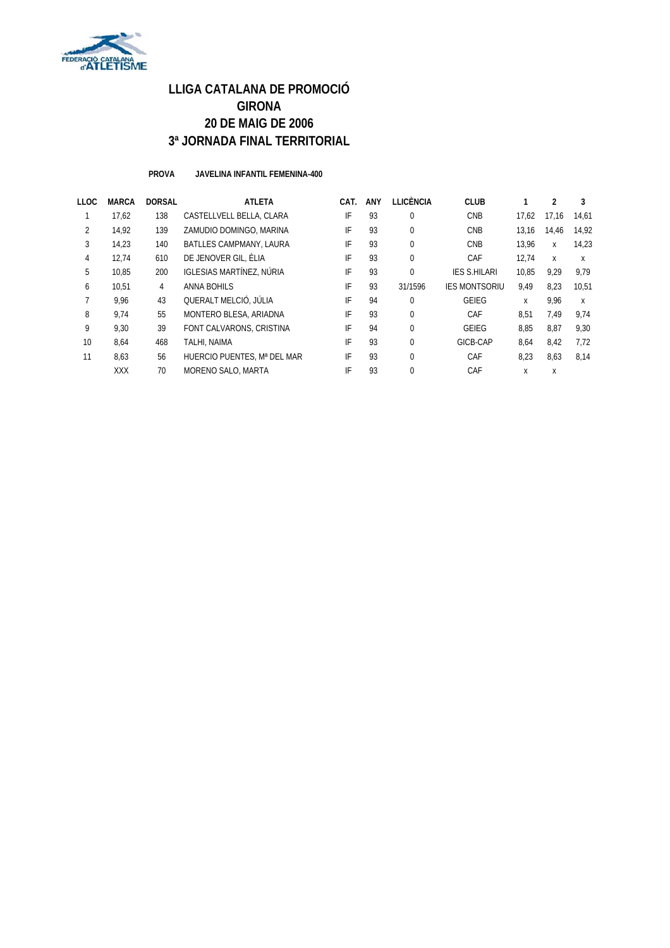

**PROVA JAVELINA INFANTIL FEMENINA-400**

| LLOC           | <b>MARCA</b> | <b>DORSAL</b> | <b>ATLETA</b>                   | CAT. | <b>ANY</b> | LLICÈNCIA    | <b>CLUB</b>          |       |       |       |
|----------------|--------------|---------------|---------------------------------|------|------------|--------------|----------------------|-------|-------|-------|
|                | 17.62        | 138           | CASTELLVELL BELLA, CLARA        | IF   | 93         | $\mathbf 0$  | <b>CNB</b>           | 17.62 | 17.16 | 14.61 |
| $\overline{2}$ | 14.92        | 139           | ZAMUDIO DOMINGO, MARINA         | IF   | 93         | $\mathbf 0$  | CNB                  | 13.16 | 14.46 | 14.92 |
| 3              | 14.23        | 140           | <b>BATLLES CAMPMANY, LAURA</b>  | IF   | 93         | $\mathbf 0$  | <b>CNB</b>           | 13.96 | X     | 14.23 |
| 4              | 12,74        | 610           | DE JENOVER GIL, ÈLIA            | IF   | 93         | $\mathbf{0}$ | CAF                  | 12.74 | X     | X     |
| 5              | 10.85        | 200           | <b>IGLESIAS MARTÍNEZ, NÚRIA</b> | IF   | 93         | $\mathbf{0}$ | <b>IES S.HILARI</b>  | 10.85 | 9.29  | 9.79  |
| 6              | 10,51        | 4             | ANNA BOHILS                     | IF   | 93         | 31/1596      | <b>IES MONTSORIU</b> | 9,49  | 8,23  | 10,51 |
|                | 9.96         | 43            | QUERALT MELCIÓ, JÚLIA           | IF   | 94         | $\mathbf 0$  | <b>GEIEG</b>         | X     | 9.96  | X     |
| 8              | 9.74         | 55            | MONTERO BLESA, ARIADNA          | IF   | 93         | $\mathbf{0}$ | CAF                  | 8.51  | 7.49  | 9.74  |
| 9              | 9.30         | 39            | FONT CALVARONS, CRISTINA        | IF   | 94         | $\mathbf{0}$ | <b>GEIEG</b>         | 8.85  | 8.87  | 9,30  |
| 10             | 8.64         | 468           | TALHI, NAIMA                    | IF   | 93         | $\mathbf 0$  | GICB-CAP             | 8,64  | 8,42  | 7.72  |
| 11             | 8.63         | 56            | HUERCIO PUENTES, Mª DEL MAR     | IF   | 93         | $\mathbf 0$  | CAF                  | 8.23  | 8,63  | 8.14  |
|                | <b>XXX</b>   | 70            | MORENO SALO, MARTA              | IF   | 93         | $\Omega$     | CAF                  | x     | X     |       |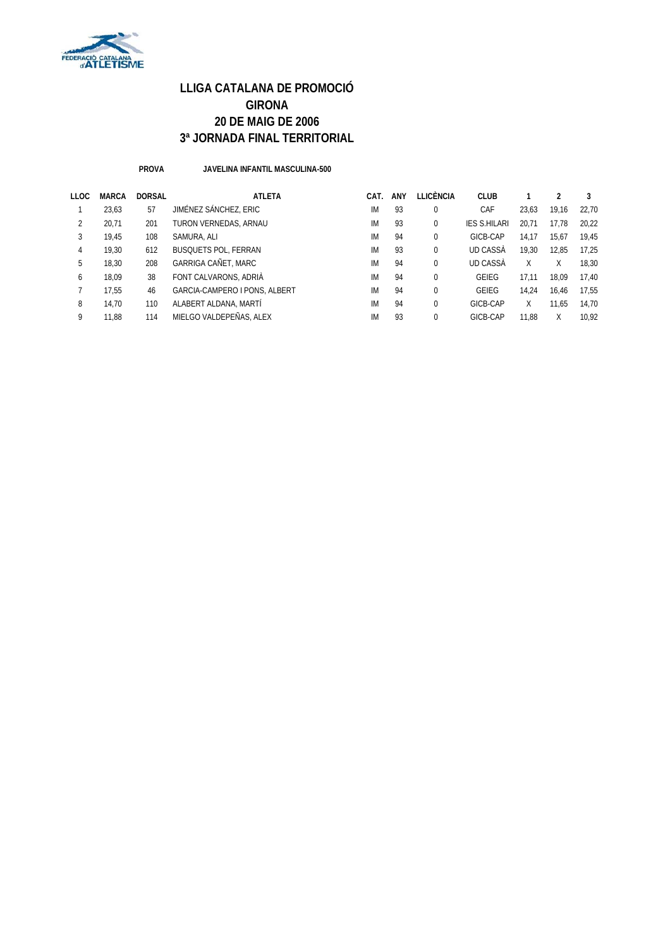

**PROVA JAVELINA INFANTIL MASCULINA-500**

| LLOC | <b>MARCA</b> | <b>DORSAL</b> | <b>ATLETA</b>                 | CAT. | ANY | <b>LLICÈNCIA</b> | CLUB                |       |       |       |
|------|--------------|---------------|-------------------------------|------|-----|------------------|---------------------|-------|-------|-------|
|      | 23.63        | 57            | JIMÉNEZ SÁNCHEZ, ERIC         | IM   | 93  | 0                | CAF                 | 23.63 | 19.16 | 22.70 |
| 2    | 20.71        | 201           | TURON VERNEDAS, ARNAU         | IM   | 93  | 0                | <b>IES S.HILARI</b> | 20.71 | 17.78 | 20.22 |
| 3    | 19.45        | 108           | SAMURA, ALI                   | IM   | 94  | 0                | GICB-CAP            | 14.17 | 15.67 | 19.45 |
| 4    | 19.30        | 612           | <b>BUSQUETS POL, FERRAN</b>   | IM   | 93  | 0                | UD CASSÀ            | 19.30 | 12.85 | 17.25 |
| 5    | 18,30        | 208           | <b>GARRIGA CAÑET, MARC</b>    | IM   | 94  | 0                | UD CASSÀ            | Χ     | Χ     | 18.30 |
| 6    | 18.09        | 38            | FONT CALVARONS, ADRIÀ         | IM   | 94  | 0                | <b>GEIEG</b>        | 17.11 | 18.09 | 17.40 |
|      | 17.55        | 46            | GARCIA-CAMPERO I PONS, ALBERT | IM   | 94  | 0                | <b>GEIEG</b>        | 14.24 | 16.46 | 17.55 |
| 8    | 14.70        | 110           | ALABERT ALDANA, MARTÍ         | IM   | 94  | 0                | GICB-CAP            | X     | 11.65 | 14.70 |
| 9    | 11.88        | 114           | MIELGO VALDEPEÑAS, ALEX       | IM   | 93  | 0                | GICB-CAP            | 11.88 | X     | 10.92 |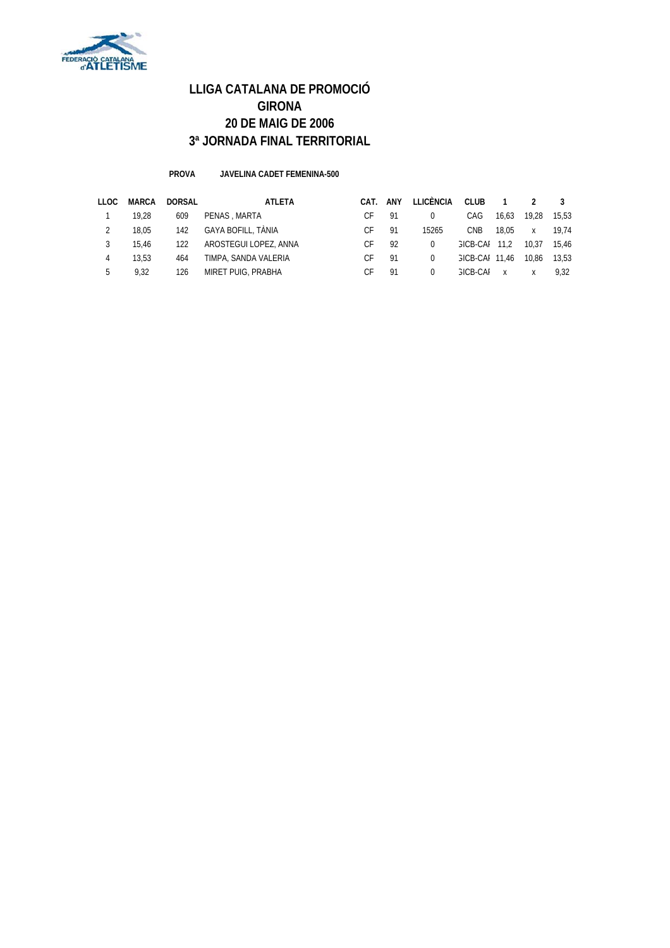

#### **PROVA JAVELINA CADET FEMENINA-500**

| LLOC | MARCA | DORSAL | ATLETA                | CAT. | ANY | LLICÈNCIA | <b>CLUB</b>           |              |              |       |
|------|-------|--------|-----------------------|------|-----|-----------|-----------------------|--------------|--------------|-------|
|      | 19.28 | 609    | PENAS, MARTA          |      | -91 |           | CAG                   | 16.63        | 19.28        | 15.53 |
|      | 18.05 | 142    | GAYA BOFILL, TÀNIA    | C.F  | 91  | 15265     | <b>CNB</b>            | 18.05        | $\mathsf{x}$ | 19.74 |
|      | 15.46 | 122    | AROSTEGUI LOPEZ, ANNA | C.F  | 92  | $\Omega$  | GICB-CAL              | 11.2         | 10.37        | 15,46 |
|      | 13.53 | 464    | TIMPA, SANDA VALERIA  | C.F  | 91  | $\Omega$  | <b>GICB-CAI 11.46</b> |              | 10.86        | 13,53 |
|      | 9.32  | 126    | MIRET PUIG, PRABHA    |      | 91  |           | GICB-CAL              | $\mathsf{x}$ |              | 9.32  |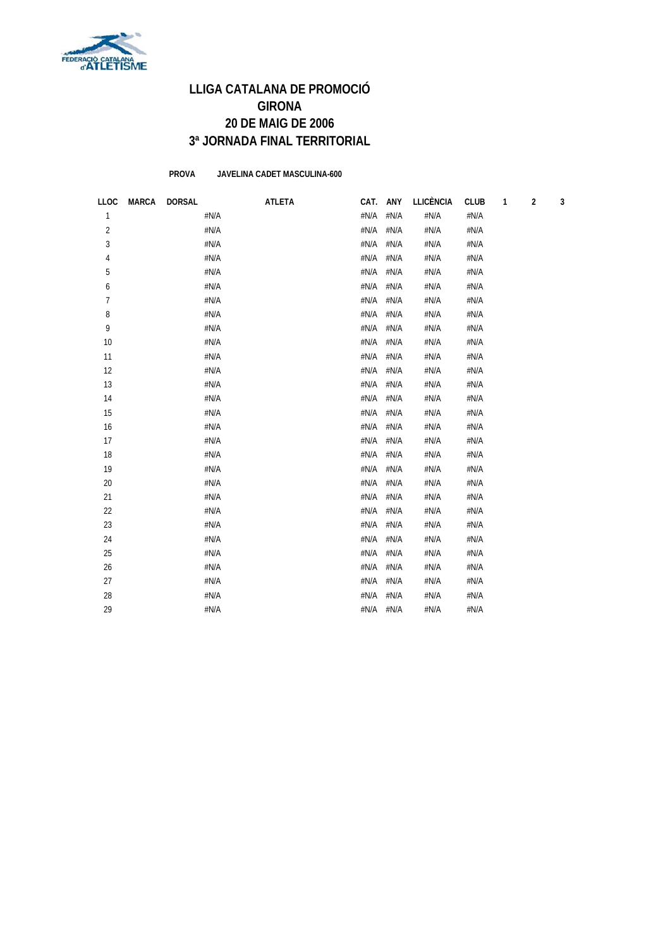

**PROVA JAVELINA CADET MASCULINA-600**

| <b>LLOC</b>    | <b>MARCA</b> | <b>DORSAL</b> | <b>ATLETA</b> | CAT. | ANY                       | <b>LLICÈNCIA</b> | <b>CLUB</b> | 1 | $\mathbf 2$ | 3 |
|----------------|--------------|---------------|---------------|------|---------------------------|------------------|-------------|---|-------------|---|
| $\mathbf{1}$   |              |               | #N/A          | #N/A | #N/A                      | #N/A             | #N/A        |   |             |   |
| $\overline{2}$ |              |               | #N/A          | #N/A | #N/A                      | #N/A             | #N/A        |   |             |   |
| 3              |              |               | #N/A          | #N/A | #N/A                      | #N/A             | #N/A        |   |             |   |
| 4              |              |               | #N/A          | #N/A | #N/A                      | #N/A             | #N/A        |   |             |   |
| 5              |              |               | #N/A          | #N/A | #N/A                      | #N/A             | #N/A        |   |             |   |
| 6              |              |               | #N/A          | #N/A | #N/A                      | #N/A             | #N/A        |   |             |   |
| $\overline{7}$ |              |               | #N/A          | #N/A | #N/A                      | #N/A             | #N/A        |   |             |   |
| 8              |              |               | #N/A          | #N/A | #N/A                      | #N/A             | #N/A        |   |             |   |
| 9              |              |               | #N/A          | #N/A | #N/A                      | #N/A             | #N/A        |   |             |   |
| 10             |              |               | #N/A          | #N/A | #N/A                      | #N/A             | #N/A        |   |             |   |
| 11             |              |               | #N/A          | #N/A | #N/A                      | #N/A             | #N/A        |   |             |   |
| 12             |              |               | #N/A          | #N/A | #N/A                      | #N/A             | #N/A        |   |             |   |
| 13             |              |               | #N/A          | #N/A | #N/A                      | #N/A             | #N/A        |   |             |   |
| 14             |              |               | #N/A          | #N/A | #N/A                      | #N/A             | #N/A        |   |             |   |
| 15             |              |               | #N/A          | #N/A | #N/A                      | #N/A             | #N/A        |   |             |   |
| 16             |              |               | #N/A          | #N/A | #N/A                      | #N/A             | #N/A        |   |             |   |
| 17             |              |               | #N/A          | #N/A | #N/A                      | #N/A             | #N/A        |   |             |   |
| 18             |              |               | #N/A          | #N/A | #N/A                      | #N/A             | #N/A        |   |             |   |
| 19             |              |               | #N/A          | #N/A | #N/A                      | #N/A             | #N/A        |   |             |   |
| 20             |              |               | #N/A          | #N/A | #N/A                      | #N/A             | #N/A        |   |             |   |
| 21             |              |               | #N/A          | #N/A | #N/A                      | #N/A             | #N/A        |   |             |   |
| 22             |              |               | #N/A          | #N/A | #N/A                      | #N/A             | #N/A        |   |             |   |
| 23             |              |               | #N/A          | #N/A | #N/A                      | #N/A             | #N/A        |   |             |   |
| 24             |              |               | #N/A          | #N/A | $\#\mathsf{N}/\mathsf{A}$ | #N/A             | #N/A        |   |             |   |
| 25             |              |               | #N/A          | #N/A | #N/A                      | #N/A             | #N/A        |   |             |   |
| 26             |              |               | #N/A          | #N/A | #N/A                      | #N/A             | #N/A        |   |             |   |
| 27             |              |               | #N/A          | #N/A | #N/A                      | #N/A             | #N/A        |   |             |   |
| 28             |              |               | #N/A          | #N/A | #N/A                      | #N/A             | #N/A        |   |             |   |
| 29             |              |               | #N/A          | #N/A | #N/A                      | #N/A             | #N/A        |   |             |   |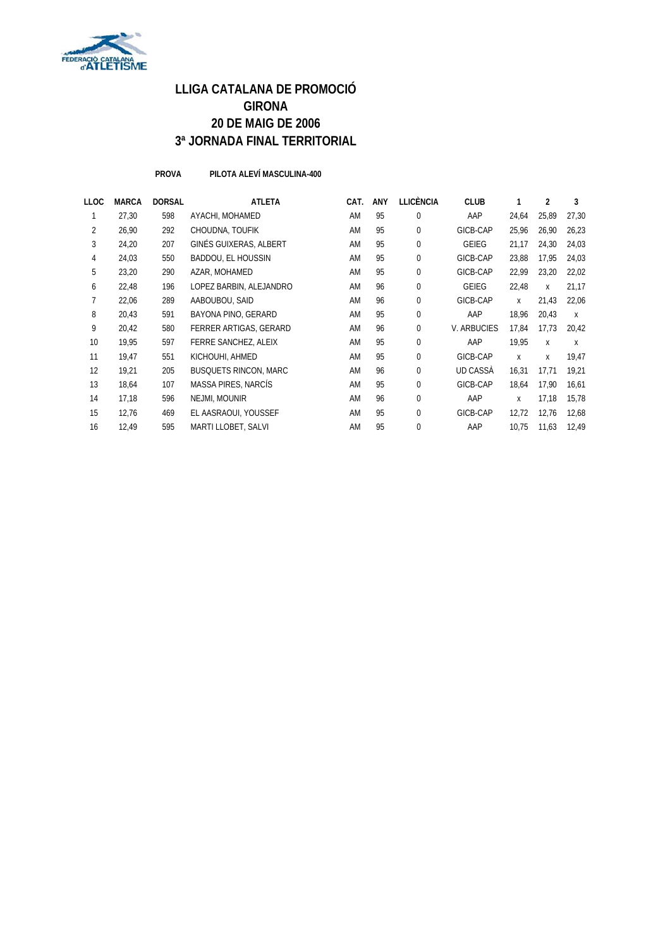

**PROVA PILOTA ALEVÍ MASCULINA-400**

| LLOC           | <b>MARCA</b> | <b>DORSAL</b> | <b>ATLETA</b>                | CAT. | <b>ANY</b> | <b>LLICÈNCIA</b> | <b>CLUB</b>        | 1     | $\overline{2}$ | 3     |
|----------------|--------------|---------------|------------------------------|------|------------|------------------|--------------------|-------|----------------|-------|
|                | 27,30        | 598           | AYACHI, MOHAMED              | AM   | 95         | 0                | AAP                | 24,64 | 25,89          | 27,30 |
| $\overline{2}$ | 26,90        | 292           | CHOUDNA, TOUFIK              | AM   | 95         | 0                | GICB-CAP           | 25,96 | 26,90          | 26,23 |
| 3              | 24,20        | 207           | GINÉS GUIXERAS, ALBERT       | AM   | 95         | 0                | <b>GEIEG</b>       | 21,17 | 24,30          | 24,03 |
| 4              | 24,03        | 550           | BADDOU, EL HOUSSIN           | AM   | 95         | 0                | GICB-CAP           | 23,88 | 17,95          | 24,03 |
| 5              | 23,20        | 290           | AZAR, MOHAMED                | AM   | 95         | 0                | GICB-CAP           | 22,99 | 23,20          | 22,02 |
| 6              | 22,48        | 196           | LOPEZ BARBIN, ALEJANDRO      | AM   | 96         | $\Omega$         | <b>GEIEG</b>       | 22,48 | X              | 21,17 |
|                | 22,06        | 289           | AABOUBOU, SAID               | AM   | 96         | 0                | GICB-CAP           | X     | 21,43          | 22,06 |
| 8              | 20,43        | 591           | BAYONA PINO, GERARD          | AM   | 95         | 0                | AAP                | 18,96 | 20,43          | X     |
| 9              | 20,42        | 580           | FERRER ARTIGAS, GERARD       | AM   | 96         | 0                | <b>V. ARBUCIES</b> | 17,84 | 17.73          | 20,42 |
| 10             | 19,95        | 597           | FERRE SANCHEZ, ALEIX         | AM   | 95         | $\Omega$         | AAP                | 19,95 | X              | X     |
| 11             | 19,47        | 551           | KICHOUHI, AHMED              | AM   | 95         | $\Omega$         | GICB-CAP           | X     | X              | 19,47 |
| 12             | 19,21        | 205           | <b>BUSQUETS RINCON, MARC</b> | AM   | 96         | 0                | UD CASSA           | 16,31 | 17,71          | 19,21 |
| 13             | 18,64        | 107           | MASSA PIRES, NARCÍS          | AM   | 95         | 0                | GICB-CAP           | 18,64 | 17,90          | 16,61 |
| 14             | 17,18        | 596           | NEJMI, MOUNIR                | AM   | 96         | $\Omega$         | AAP                | X     | 17,18          | 15,78 |
| 15             | 12,76        | 469           | EL AASRAOUI, YOUSSEF         | AM   | 95         | 0                | GICB-CAP           | 12,72 | 12,76          | 12,68 |
| 16             | 12,49        | 595           | MARTI LLOBET, SALVI          | AM   | 95         | 0                | AAP                | 10,75 | 11,63          | 12,49 |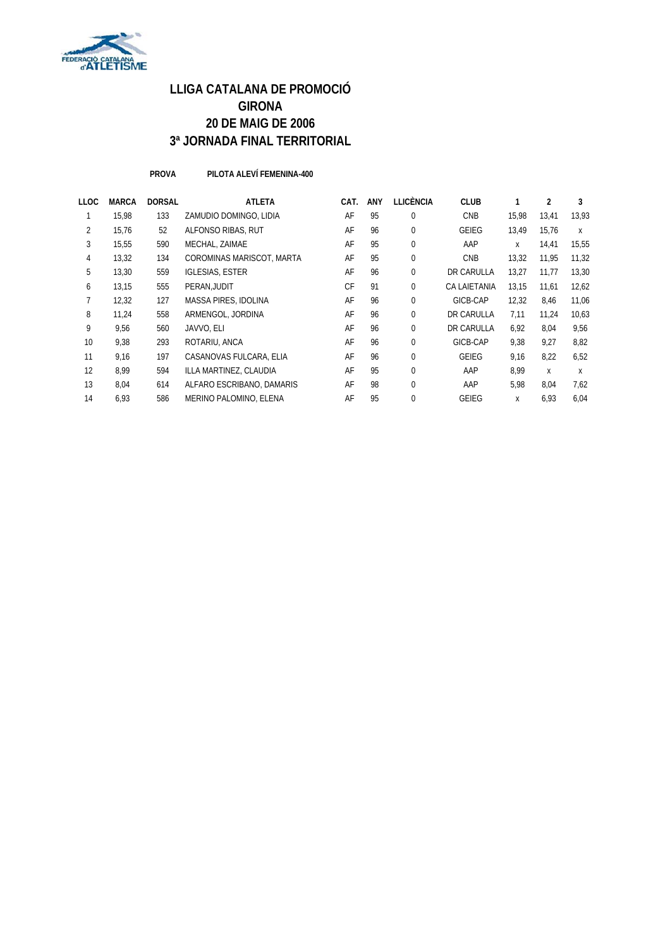

**PROVA PILOTA ALEVÍ FEMENINA-400**

| LLOC | <b>MARCA</b> | <b>DORSAL</b> | <b>ATLETA</b>             | CAT.      | <b>ANY</b> | <b>LLICÈNCIA</b> | <b>CLUB</b>         |       | 2     | 3     |
|------|--------------|---------------|---------------------------|-----------|------------|------------------|---------------------|-------|-------|-------|
|      | 15,98        | 133           | ZAMUDIO DOMINGO. LIDIA    | AF        | 95         | $\mathbf{0}$     | <b>CNB</b>          | 15,98 | 13,41 | 13,93 |
| 2    | 15,76        | 52            | ALFONSO RIBAS, RUT        | AF        | 96         | $\Omega$         | GEIEG               | 13.49 | 15.76 | X     |
| 3    | 15,55        | 590           | MECHAL, ZAIMAE            | AF        | 95         | $\mathbf 0$      | AAP                 | X     | 14,41 | 15,55 |
| 4    | 13,32        | 134           | COROMINAS MARISCOT, MARTA | AF        | 95         | $\mathbf 0$      | <b>CNB</b>          | 13,32 | 11,95 | 11,32 |
| 5    | 13,30        | 559           | <b>IGLESIAS, ESTER</b>    | AF        | 96         | $\mathbf 0$      | DR CARULLA          | 13,27 | 11,77 | 13,30 |
| 6    | 13,15        | 555           | PERAN, JUDIT              | <b>CF</b> | 91         | $\mathbf 0$      | <b>CA LAIETANIA</b> | 13.15 | 11.61 | 12,62 |
|      | 12,32        | 127           | MASSA PIRES, IDOLINA      | AF        | 96         | $\mathbf{0}$     | GICB-CAP            | 12,32 | 8,46  | 11,06 |
| 8    | 11,24        | 558           | ARMENGOL, JORDINA         | AF        | 96         | $\Omega$         | DR CARULLA          | 7.11  | 11.24 | 10,63 |
| 9    | 9,56         | 560           | JAVVO, ELI                | AF        | 96         | $\mathbf 0$      | DR CARULLA          | 6,92  | 8,04  | 9,56  |
| 10   | 9,38         | 293           | ROTARIU, ANCA             | AF        | 96         | $\Omega$         | GICB-CAP            | 9,38  | 9.27  | 8,82  |
| 11   | 9,16         | 197           | CASANOVAS FULCARA, ELIA   | AF        | 96         | $\mathbf{0}$     | GEIEG               | 9,16  | 8,22  | 6,52  |
| 12   | 8.99         | 594           | ILLA MARTINEZ, CLAUDIA    | AF        | 95         | $\Omega$         | AAP                 | 8.99  | X     | X     |
| 13   | 8,04         | 614           | ALFARO ESCRIBANO, DAMARIS | AF        | 98         | $\Omega$         | AAP                 | 5,98  | 8,04  | 7,62  |
| 14   | 6,93         | 586           | MERINO PALOMINO, ELENA    | AF        | 95         | $\Omega$         | GEIEG               | X     | 6,93  | 6.04  |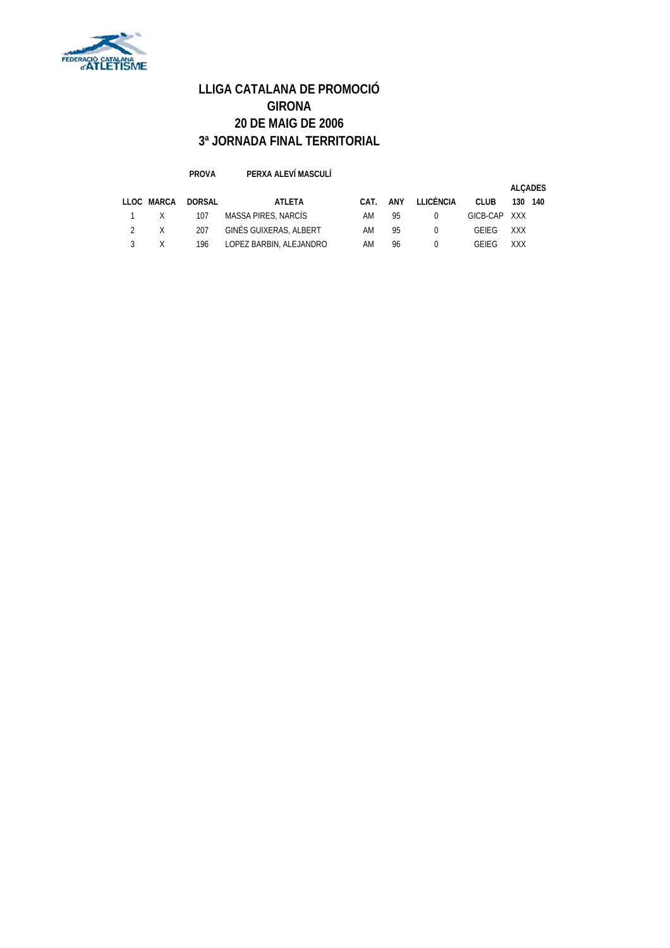

#### **PROVA PERXA ALEVÍ MASCULÍ LLOC MARCA DORSAL ATLETA CAT. ANY LLICÈNCIA CLUB 130 140** 1 X 107 MASSA PIRES, NARCÍS AM 95 0 GICB-CAP XXX 2 X 207 GINÉS GUIXERAS, ALBERT AM 95 0 GEIEG XXX 3 X 196 LOPEZ BARBIN, ALEJANDRO AM 96 0 GEIEG XXX **ALÇADES**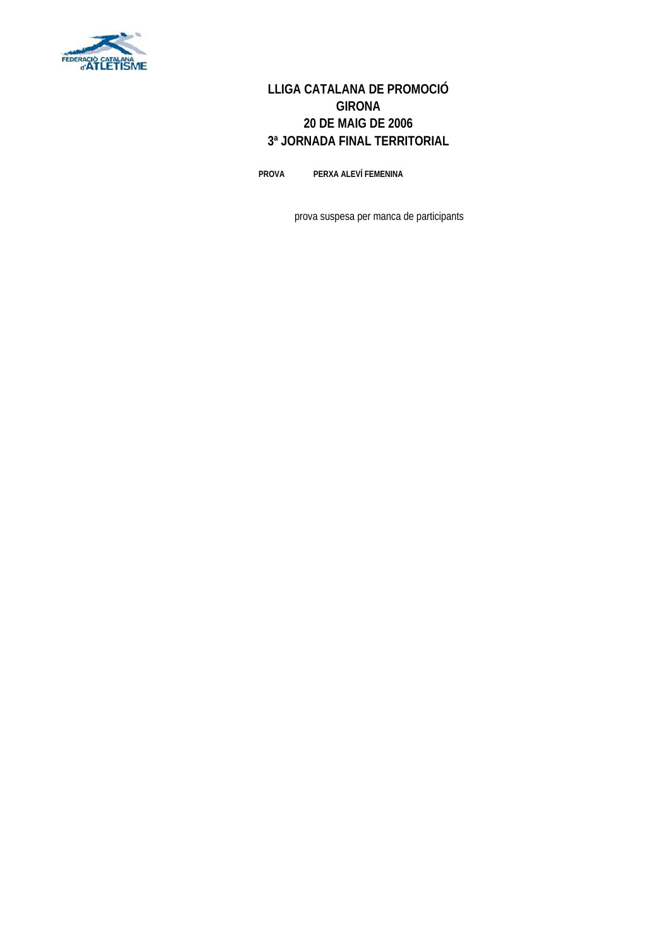

**PROVA PERXA ALEVÍ FEMENINA**

prova suspesa per manca de participants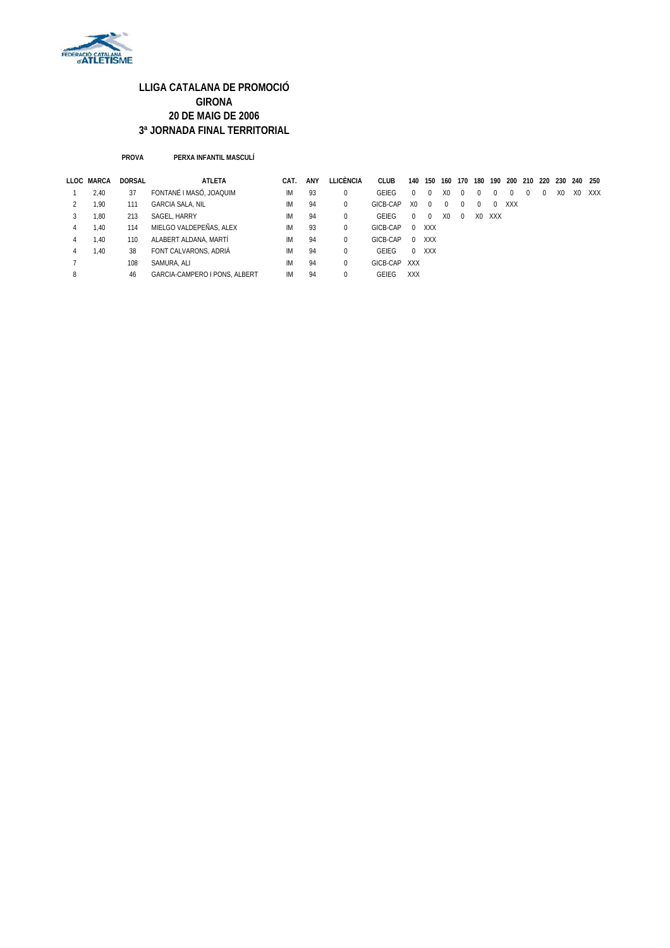

#### **PROVA PERXA INFANTIL MASCULÍ**

|   | LLOC MARCA | <b>DORSAL</b> | ATLETA                        | CAT. | ANY | LLICÈNCIA | <b>CLUB</b>  | 140            | 150      | 160            | 170      | 180 | 190 | 200 210 220 230 |          |    | 240 250        |     |
|---|------------|---------------|-------------------------------|------|-----|-----------|--------------|----------------|----------|----------------|----------|-----|-----|-----------------|----------|----|----------------|-----|
|   | 2.40       | 37            | FONTANÉ I MASÓ. JOAQUIM       | IМ   | 93  | 0         | GEIEG        | $\Omega$       | $\Omega$ | X <sub>0</sub> | $\Omega$ |     |     | $\Omega$        | $\Omega$ | X0 | X <sub>0</sub> | XXX |
|   | 1.90       | 111           | <b>GARCIA SALA, NIL</b>       | IМ   | 94  | 0         | GICB-CAP     | X <sub>0</sub> | $\Omega$ | 0              | $\Omega$ |     | 0   | XXX             |          |    |                |     |
|   | 1.80       | 213           | SAGEL, HARRY                  | IM   | 94  | 0         | GEIEG        | $\Omega$       | $\Omega$ | X <sub>0</sub> | $\Omega$ | X0  | XXX |                 |          |    |                |     |
| 4 | 1.40       | 114           | MIELGO VALDEPEÑAS, ALEX       | IM   | 93  | 0         | GICB-CAP     | $\Omega$       | XXX      |                |          |     |     |                 |          |    |                |     |
| 4 | 1.40       | 110           | ALABERT ALDANA, MARTÍ         | IM   | 94  | 0         | GICB-CAP     | $\Omega$       | XXX      |                |          |     |     |                 |          |    |                |     |
| 4 | 1.40       | 38            | FONT CALVARONS, ADRIÀ         | IM   | 94  | 0         | GEIFG        | $\Omega$       | XXX      |                |          |     |     |                 |          |    |                |     |
|   |            | 108           | SAMURA, ALI                   | IМ   | 94  | 0         | GICB-CAP XXX |                |          |                |          |     |     |                 |          |    |                |     |
| 8 |            | 46            | GARCIA-CAMPERO I PONS. ALBERT | IM   | 94  | 0         | <b>GFIFG</b> | <b>XXX</b>     |          |                |          |     |     |                 |          |    |                |     |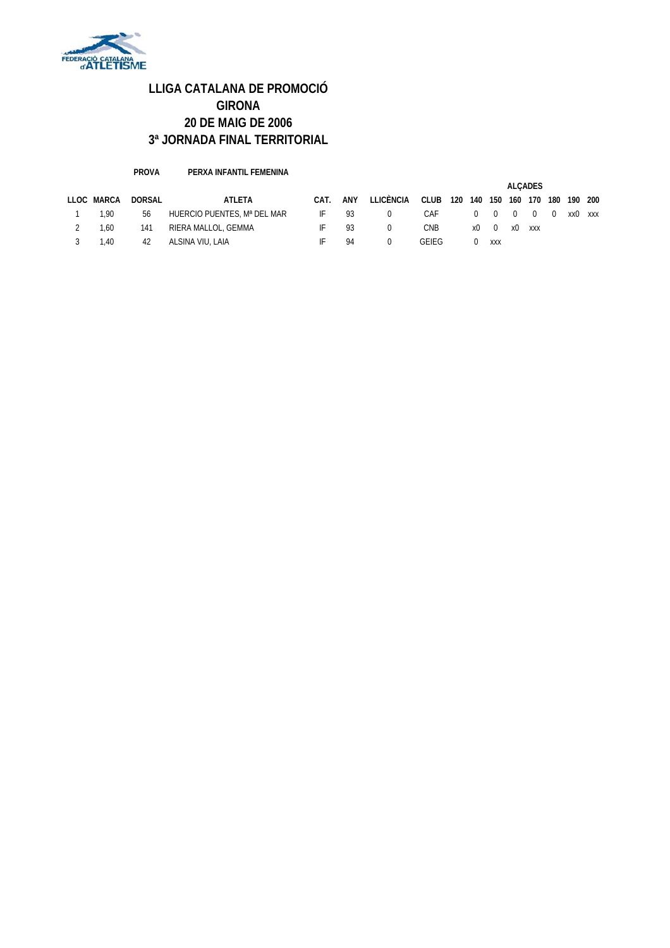

**PROVA PERXA INFANTIL FEMENINA**

|            |        |                             |      |     |           |       |     | <b>ALCADES</b> |                |          |          |          |         |     |
|------------|--------|-----------------------------|------|-----|-----------|-------|-----|----------------|----------------|----------|----------|----------|---------|-----|
| LLOC MARCA | DORSAL | ATLETA                      | CAT. | ANY | LLICÈNCIA | CLUB  | 120 | 140            | 150            | 160      | 170      | 180      | 190 200 |     |
| 1.90       | 56     | HUERCIO PUENTES, Mª DEL MAR | -IF  | 93  |           | CAF   |     | $\Omega$       | $\overline{0}$ | $\Omega$ | $\Omega$ | $\Omega$ | xx0     | XXX |
| 1.60       | 141    | RIERA MALLOL, GEMMA         | IF.  | 93  |           | CNB   |     | x0             | $\overline{0}$ | x0       | XXX      |          |         |     |
| .40        | 42     | ALSINA VIU, LAIA            | IF   | 94  |           | GEIEG |     |                | XXX            |          |          |          |         |     |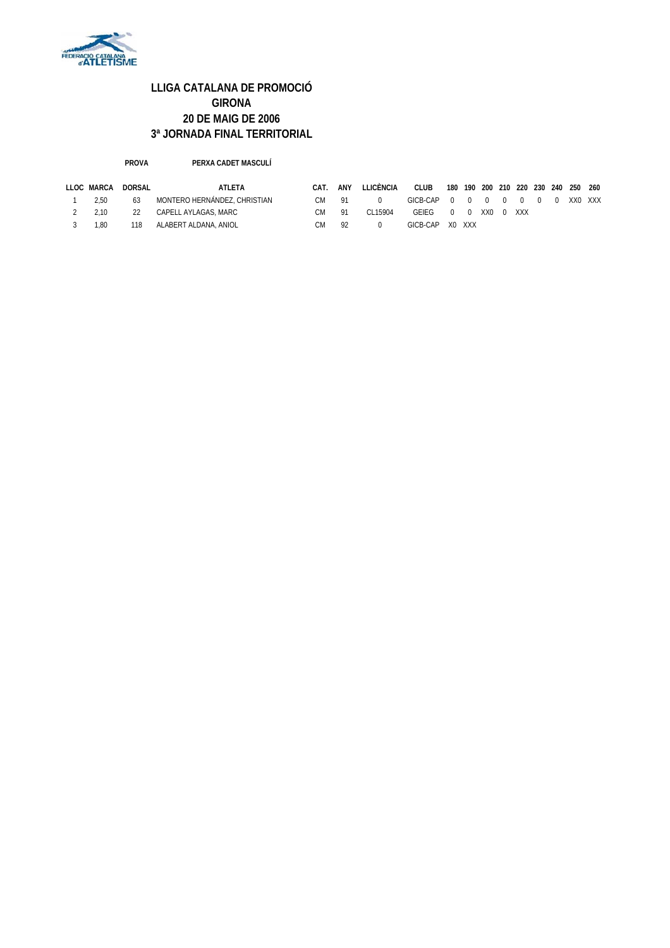

#### **PROVA PERXA CADET MASCULÍ**

| LLOC MARCA | DORSAL | ATLETA                       | CAT. | ANY | LLICÉNCIA | <b>CLUB</b>                                                      | 180 190 200 210 220 230 240 |  |  | 250 260 |         |
|------------|--------|------------------------------|------|-----|-----------|------------------------------------------------------------------|-----------------------------|--|--|---------|---------|
| 2.50       | 63     | MONTERO HERNÁNDEZ. CHRISTIAN | CM – | 91  | - 0       | GICB-CAP $\begin{matrix} 0 & 0 & 0 & 0 & 0 & 0 & 0 \end{matrix}$ |                             |  |  |         | XXO XXX |
| 2.10       | 22     | CAPELL AYLAGAS, MARC         | СM   | 91  | CI 15904  | GEIEG 0 0 XX0 0 XXX                                              |                             |  |  |         |         |
| 1.80       | 118    | ALABERT ALDANA, ANIOL        | СM   | 92  |           | GICB-CAP X0 XXX                                                  |                             |  |  |         |         |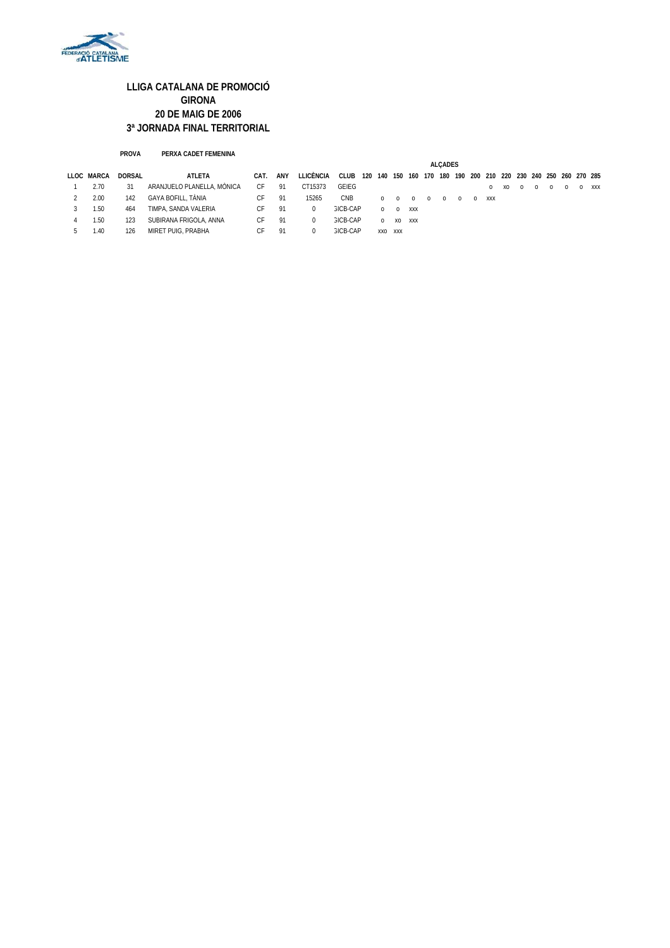

#### **PROVA PERXA CADET FEMENINA**

|            |               |                            |      |     |           | <b>ALCADES</b>  |     |            |          |                                                     |          |          |          |          |         |    |          |          |          |       |
|------------|---------------|----------------------------|------|-----|-----------|-----------------|-----|------------|----------|-----------------------------------------------------|----------|----------|----------|----------|---------|----|----------|----------|----------|-------|
| LLOC MARCA | <b>DORSAL</b> | ATLETA                     | CAT. | ANY | LLICÈNCIA | CLUB            | 120 | 140        | 150      | 160 170 180 190 200 210 220 230 240 250 260 270 285 |          |          |          |          |         |    |          |          |          |       |
| 2.70       |               | ARANJUELO PLANELLA, MÒNICA | СF   | 91  | CT15373   | GEIEG           |     |            |          |                                                     |          |          |          |          | $\circ$ | xo | $\Omega$ | $\Omega$ | $\Omega$ | O XXX |
| 2.00       | 142           | GAYA BOFILL, TÀNIA         | C⊦   | 91  | 15265     | CNB             |     | $^{\circ}$ | $\Omega$ | $\Omega$                                            | $\Omega$ | $\Omega$ | $\Omega$ | $\Omega$ | XXX     |    |          |          |          |       |
| 1.50       | 464           | TIMPA, SANDA VALERIA       | СF   | -91 | $\Omega$  | GICB-CAP        |     | $\Omega$   | $\Omega$ | XXX                                                 |          |          |          |          |         |    |          |          |          |       |
| 1.50       | 123           | SUBIRANA FRIGOLA, ANNA     | СF   | 91  | $\Omega$  | <b>GICB-CAP</b> |     | $\Omega$   | XO       | XXX                                                 |          |          |          |          |         |    |          |          |          |       |
| 1.40       | 126           | MIRET PUIG, PRABHA         | СH.  | 91  | $^{(1)}$  | <b>GICB-CAP</b> |     | XXO        | XXX      |                                                     |          |          |          |          |         |    |          |          |          |       |
|            |               |                            |      |     |           |                 |     |            |          |                                                     |          |          |          |          |         |    |          |          |          |       |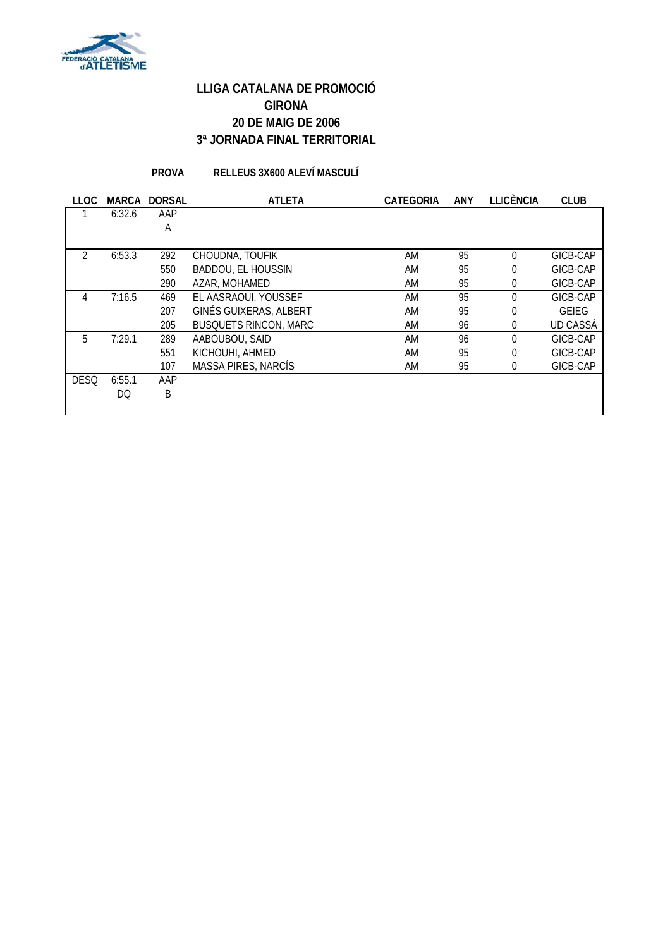

**PROVA RELLEUS 3X600 ALEVÍ MASCULÍ**

| <b>LLOC</b>    | <b>MARCA</b> | <b>DORSAL</b> | <b>ATLETA</b>                 | <b>CATEGORIA</b> | ANY | <b>LLICÈNCIA</b> | <b>CLUB</b>     |
|----------------|--------------|---------------|-------------------------------|------------------|-----|------------------|-----------------|
|                | 6:32.6       | AAP           |                               |                  |     |                  |                 |
|                |              | A             |                               |                  |     |                  |                 |
|                |              |               |                               |                  |     |                  |                 |
| $\mathfrak{D}$ | 6:53.3       | 292           | CHOUDNA, TOUFIK               | AM               | 95  | $\Omega$         | GICB-CAP        |
|                |              | 550           | <b>BADDOU, EL HOUSSIN</b>     | AM               | 95  | $\overline{0}$   | GICB-CAP        |
|                |              | 290           | AZAR, MOHAMED                 | AM               | 95  | $\overline{0}$   | GICB-CAP        |
| 4              | 7:16.5       | 469           | EL AASRAOUI, YOUSSEF          | AM               | 95  | $\theta$         | GICB-CAP        |
|                |              | 207           | <b>GINÉS GUIXERAS, ALBERT</b> | AM               | 95  | 0                | <b>GEIEG</b>    |
|                |              | 205           | <b>BUSQUETS RINCON, MARC</b>  | AM               | 96  | 0                | <b>UD CASSA</b> |
| 5              | 7:29.1       | 289           | AABOUBOU, SAID                | AM               | 96  | $\Omega$         | GICB-CAP        |
|                |              | 551           | KICHOUHI, AHMED               | AM               | 95  | $\overline{0}$   | GICB-CAP        |
|                |              | 107           | <b>MASSA PIRES, NARCÍS</b>    | AM               | 95  | 0                | GICB-CAP        |
| <b>DESQ</b>    | 6:55.1       | AAP           |                               |                  |     |                  |                 |
|                | DQ.          | B             |                               |                  |     |                  |                 |
|                |              |               |                               |                  |     |                  |                 |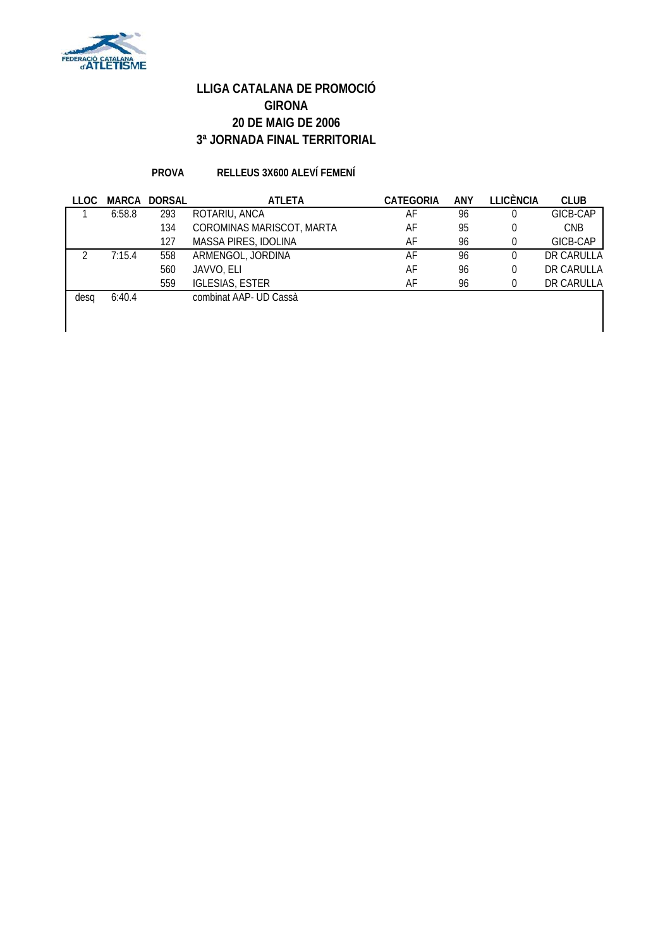

#### **PROVA RELLEUS 3X600 ALEVÍ FEMENÍ**

| LLOC |        | <b>MARCA DORSAL</b> | <b>ATLETA</b>             | <b>CATEGORIA</b> | <b>ANY</b> | <b>LLICÈNCIA</b> | <b>CLUB</b> |
|------|--------|---------------------|---------------------------|------------------|------------|------------------|-------------|
|      | 6:58.8 | 293                 | ROTARIU, ANCA             | AF               | 96         |                  | GICB-CAP    |
|      |        | 134                 | COROMINAS MARISCOT, MARTA | AF               | 95         | 0                | <b>CNB</b>  |
|      |        | 127                 | MASSA PIRES, IDOLINA      | AF               | 96         |                  | GICB-CAP    |
|      | 7:15.4 | 558                 | ARMENGOL, JORDINA         | AF               | 96         | 0                | DR CARULLA  |
|      |        | 560                 | JAVVO, ELI                | AF               | 96         | 0                | DR CARULLA  |
|      |        | 559                 | <b>IGLESIAS, ESTER</b>    | AF               | 96         | 0                | DR CARULLA  |
| desa | 6:40.4 |                     | combinat AAP- UD Cassà    |                  |            |                  |             |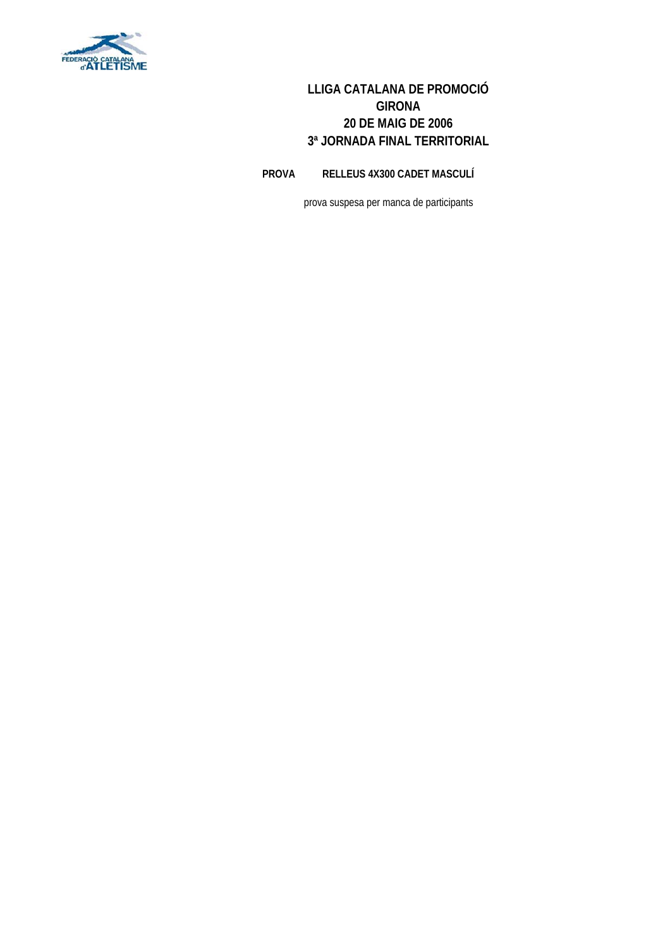

**PROVA RELLEUS 4X300 CADET MASCULÍ**

prova suspesa per manca de participants